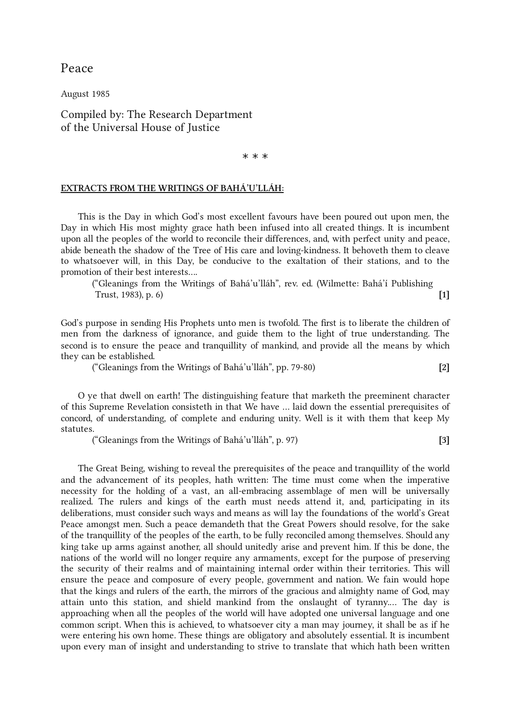# Peace

August 1985

Compiled by: The Research Department of the Universal House of Justice

\* \* \*

# EXTRACTS FROM THE WRITINGS OF BAHÁ'U'LLÁH:

This is the Day in which God's most excellent favours have been poured out upon men, the Day in which His most mighty grace hath been infused into all created things. It is incumbent upon all the peoples of the world to reconcile their differences, and, with perfect unity and peace, abide beneath the shadow of the Tree of His care and loving-kindness. It behoveth them to cleave to whatsoever will, in this Day, be conducive to the exaltation of their stations, and to the promotion of their best interests....

("Gleanings from the Writings of Bahá'u'lláh", rev. ed. (Wilmette: Bahá'í Publishing Trust, 1983), p. 6)  $[1]$ 

God's purpose in sending His Prophets unto men is twofold. The first is to liberate the children of men from the darkness of ignorance, and guide them to the light of true understanding. The second is to ensure the peace and tranquillity of mankind, and provide all the means by which they can be established.

("Gleanings from the Writings of Bahá'u'lláh", pp. 79-80) [2]

O ye that dwell on earth! The distinguishing feature that marketh the preeminent character of this Supreme Revelation consisteth in that We have ... laid down the essential prerequisites of concord, of understanding, of complete and enduring unity. Well is it with them that keep My statutes.

("Gleanings from the Writings of Bahá'u'lláh", p. 97) [3]

The Great Being, wishing to reveal the prerequisites of the peace and tranquillity of the world and the advancement of its peoples, hath written: The time must come when the imperative necessity for the holding of a vast, an all-embracing assemblage of men will be universally realized. The rulers and kings of the earth must needs attend it, and, participating in its deliberations, must consider such ways and means as will lay the foundations of the world's Great Peace amongst men. Such a peace demandeth that the Great Powers should resolve, for the sake of the tranquillity of the peoples of the earth, to be fully reconciled among themselves. Should any king take up arms against another, all should unitedly arise and prevent him. If this be done, the nations of the world will no longer require any armaments, except for the purpose of preserving the security of their realms and of maintaining internal order within their territories. This will ensure the peace and composure of every people, government and nation. We fain would hope that the kings and rulers of the earth, the mirrors of the gracious and almighty name of God, may attain unto this station, and shield mankind from the onslaught of tyranny.… The day is approaching when all the peoples of the world will have adopted one universal language and one common script. When this is achieved, to whatsoever city a man may journey, it shall be as if he were entering his own home. These things are obligatory and absolutely essential. It is incumbent upon every man of insight and understanding to strive to translate that which hath been written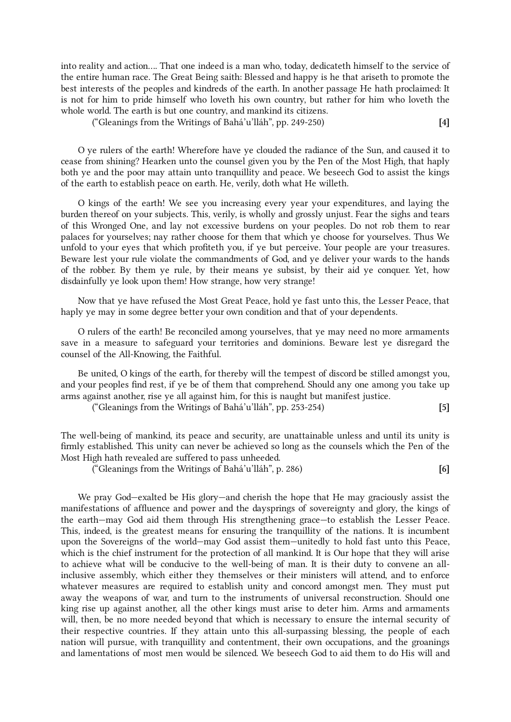into reality and action.... That one indeed is a man who, today, dedicateth himself to the service of the entire human race. The Great Being saith: Blessed and happy is he that ariseth to promote the best interests of the peoples and kindreds of the earth. In another passage He hath proclaimed: It is not for him to pride himself who loveth his own country, but rather for him who loveth the whole world. The earth is but one country, and mankind its citizens.

("Gleanings from the Writings of Bahá'u'lláh", pp. 249-250) [4]

O ye rulers of the earth! Wherefore have ye clouded the radiance of the Sun, and caused it to cease from shining? Hearken unto the counsel given you by the Pen of the Most High, that haply both ye and the poor may attain unto tranquillity and peace. We beseech God to assist the kings of the earth to establish peace on earth. He, verily, doth what He willeth.

O kings of the earth! We see you increasing every year your expenditures, and laying the burden thereof on your subjects. This, verily, is wholly and grossly unjust. Fear the sighs and tears of this Wronged One, and lay not excessive burdens on your peoples. Do not rob them to rear palaces for yourselves; nay rather choose for them that which ye choose for yourselves. Thus We unfold to your eyes that which profiteth you, if ye but perceive. Your people are your treasures. Beware lest your rule violate the commandments of God, and ye deliver your wards to the hands of the robber. By them ye rule, by their means ye subsist, by their aid ye conquer. Yet, how disdainfully ye look upon them! How strange, how very strange!

Now that ye have refused the Most Great Peace, hold ye fast unto this, the Lesser Peace, that haply ye may in some degree better your own condition and that of your dependents.

O rulers of the earth! Be reconciled among yourselves, that ye may need no more armaments save in a measure to safeguard your territories and dominions. Beware lest ye disregard the counsel of the All-Knowing, the Faithful.

Be united, O kings of the earth, for thereby will the tempest of discord be stilled amongst you, and your peoples find rest, if ye be of them that comprehend. Should any one among you take up arms against another, rise ye all against him, for this is naught but manifest justice.

("Gleanings from the Writings of Bahá'u'lláh", pp. 253-254) [5]

The well-being of mankind, its peace and security, are unattainable unless and until its unity is firmly established. This unity can never be achieved so long as the counsels which the Pen of the Most High hath revealed are suffered to pass unheeded.

("Gleanings from the Writings of Bahá'u'lláh", p. 286) [6]

We pray God—exalted be His glory—and cherish the hope that He may graciously assist the manifestations of affluence and power and the daysprings of sovereignty and glory, the kings of the earth—may God aid them through His strengthening grace—to establish the Lesser Peace. This, indeed, is the greatest means for ensuring the tranquillity of the nations. It is incumbent upon the Sovereigns of the world—may God assist them—unitedly to hold fast unto this Peace, which is the chief instrument for the protection of all mankind. It is Our hope that they will arise to achieve what will be conducive to the well-being of man. It is their duty to convene an allinclusive assembly, which either they themselves or their ministers will attend, and to enforce whatever measures are required to establish unity and concord amongst men. They must put away the weapons of war, and turn to the instruments of universal reconstruction. Should one king rise up against another, all the other kings must arise to deter him. Arms and armaments will, then, be no more needed beyond that which is necessary to ensure the internal security of their respective countries. If they attain unto this all-surpassing blessing, the people of each nation will pursue, with tranquillity and contentment, their own occupations, and the groanings and lamentations of most men would be silenced. We beseech God to aid them to do His will and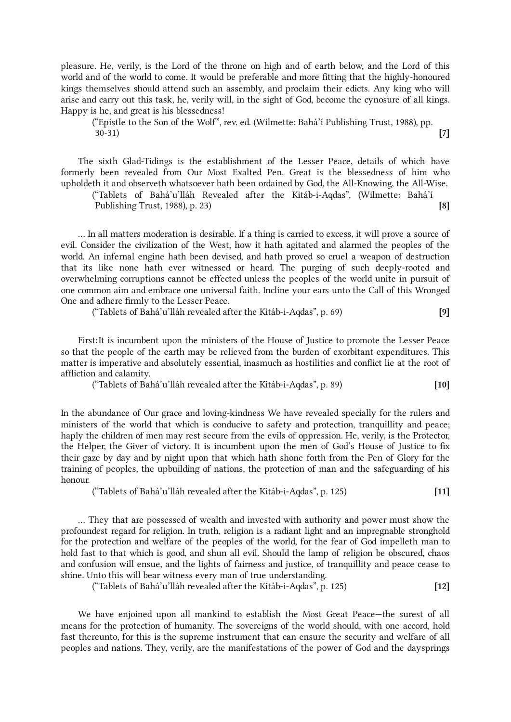pleasure. He, verily, is the Lord of the throne on high and of earth below, and the Lord of this world and of the world to come. It would be preferable and more fitting that the highly-honoured kings themselves should attend such an assembly, and proclaim their edicts. Any king who will arise and carry out this task, he, verily will, in the sight of God, become the cynosure of all kings. Happy is he, and great is his blessedness!

("Epistle to the Son of the Wolf", rev. ed. (Wilmette: Bahá'í Publishing Trust, 1988), pp.  $30-31$ ) [7]

The sixth Glad-Tidings is the establishment of the Lesser Peace, details of which have formerly been revealed from Our Most Exalted Pen. Great is the blessedness of him who upholdeth it and observeth whatsoever hath been ordained by God, the All-Knowing, the All-Wise.

("Tablets of Bahá'u'lláh Revealed after the Kitáb-i-Aqdas", (Wilmette: Bahá'í Publishing Trust, 1988), p. 23) [8]

... In all matters moderation is desirable. If a thing is carried to excess, it will prove a source of evil. Consider the civilization of the West, how it hath agitated and alarmed the peoples of the world. An infernal engine hath been devised, and hath proved so cruel a weapon of destruction that its like none hath ever witnessed or heard. The purging of such deeply-rooted and overwhelming corruptions cannot be effected unless the peoples of the world unite in pursuit of one common aim and embrace one universal faith. Incline your ears unto the Call of this Wronged One and adhere firmly to the Lesser Peace.

("Tablets of Bahá'u'lláh revealed after the Kitáb-i-Aqdas", p. 69) [9]

First:It is incumbent upon the ministers of the House of Justice to promote the Lesser Peace so that the people of the earth may be relieved from the burden of exorbitant expenditures. This matter is imperative and absolutely essential, inasmuch as hostilities and conflict lie at the root of affliction and calamity.

("Tablets of Bahá'u'lláh revealed after the Kitáb-i-Aqdas", p. 89) [10]

In the abundance of Our grace and loving-kindness We have revealed specially for the rulers and ministers of the world that which is conducive to safety and protection, tranquillity and peace; haply the children of men may rest secure from the evils of oppression. He, verily, is the Protector, the Helper, the Giver of victory. It is incumbent upon the men of God's House of Justice to fix their gaze by day and by night upon that which hath shone forth from the Pen of Glory for the training of peoples, the upbuilding of nations, the protection of man and the safeguarding of his honour.

("Tablets of Bahá'u'lláh revealed after the Kitáb-i-Aqdas", p. 125) [11]

... They that are possessed of wealth and invested with authority and power must show the profoundest regard for religion. In truth, religion is a radiant light and an impregnable stronghold for the protection and welfare of the peoples of the world, for the fear of God impelleth man to hold fast to that which is good, and shun all evil. Should the lamp of religion be obscured, chaos and confusion will ensue, and the lights of fairness and justice, of tranquillity and peace cease to shine. Unto this will bear witness every man of true understanding.

("Tablets of Bahá'u'lláh revealed after the Kitáb-i-Aqdas", p. 125) [12]

We have enjoined upon all mankind to establish the Most Great Peace—the surest of all means for the protection of humanity. The sovereigns of the world should, with one accord, hold fast thereunto, for this is the supreme instrument that can ensure the security and welfare of all peoples and nations. They, verily, are the manifestations of the power of God and the daysprings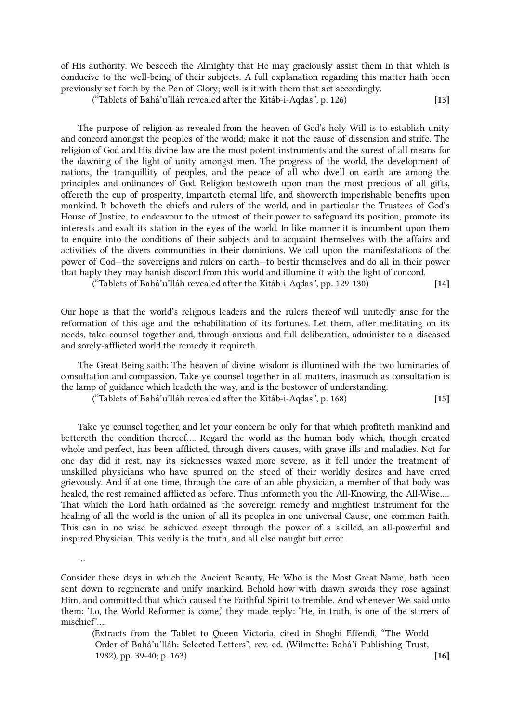of His authority. We beseech the Almighty that He may graciously assist them in that which is conducive to the well-being of their subjects. A full explanation regarding this matter hath been previously set forth by the Pen of Glory; well is it with them that act accordingly.

("Tablets of Bahá'u'lláh revealed after the Kitáb-i-Aqdas", p. 126) [13]

The purpose of religion as revealed from the heaven of God's holy Will is to establish unity and concord amongst the peoples of the world; make it not the cause of dissension and strife. The religion of God and His divine law are the most potent instruments and the surest of all means for the dawning of the light of unity amongst men. The progress of the world, the development of nations, the tranquillity of peoples, and the peace of all who dwell on earth are among the principles and ordinances of God. Religion bestoweth upon man the most precious of all gifts, offereth the cup of prosperity, imparteth eternal life, and showereth imperishable benefits upon mankind. It behoveth the chiefs and rulers of the world, and in particular the Trustees of God's House of Justice, to endeavour to the utmost of their power to safeguard its position, promote its interests and exalt its station in the eyes of the world. In like manner it is incumbent upon them to enquire into the conditions of their subjects and to acquaint themselves with the affairs and activities of the divers communities in their dominions. We call upon the manifestations of the power of God—the sovereigns and rulers on earth—to bestir themselves and do all in their power that haply they may banish discord from this world and illumine it with the light of concord.

("Tablets of Bahá'u'lláh revealed after the Kitáb-i-Aqdas", pp. 129-130) [14]

Our hope is that the world's religious leaders and the rulers thereof will unitedly arise for the reformation of this age and the rehabilitation of its fortunes. Let them, after meditating on its needs, take counsel together and, through anxious and full deliberation, administer to a diseased and sorely-afflicted world the remedy it requireth.

The Great Being saith: The heaven of divine wisdom is illumined with the two luminaries of consultation and compassion. Take ye counsel together in all matters, inasmuch as consultation is the lamp of guidance which leadeth the way, and is the bestower of understanding.

("Tablets of Bahá'u'lláh revealed after the Kitáb-i-Aqdas", p. 168) [15]

Take ye counsel together, and let your concern be only for that which profiteth mankind and bettereth the condition thereof.... Regard the world as the human body which, though created whole and perfect, has been afflicted, through divers causes, with grave ills and maladies. Not for one day did it rest, nay its sicknesses waxed more severe, as it fell under the treatment of unskilled physicians who have spurred on the steed of their worldly desires and have erred grievously. And if at one time, through the care of an able physician, a member of that body was healed, the rest remained afflicted as before. Thus informeth you the All-Knowing, the All-Wise.... That which the Lord hath ordained as the sovereign remedy and mightiest instrument for the healing of all the world is the union of all its peoples in one universal Cause, one common Faith. This can in no wise be achieved except through the power of a skilled, an all-powerful and inspired Physician. This verily is the truth, and all else naught but error.

Consider these days in which the Ancient Beauty, He Who is the Most Great Name, hath been sent down to regenerate and unify mankind. Behold how with drawn swords they rose against Him, and committed that which caused the Faithful Spirit to tremble. And whenever We said unto them: 'Lo, the World Reformer is come,' they made reply: 'He, in truth, is one of the stirrers of mischief'....

...

(Extracts from the Tablet to Queen Victoria, cited in Shoghi Effendi, "The World Order of Bahá'u'lláh: Selected Letters", rev. ed. (Wilmette: Bahá'í Publishing Trust, 1982), pp. 39-40; p. 163) [16]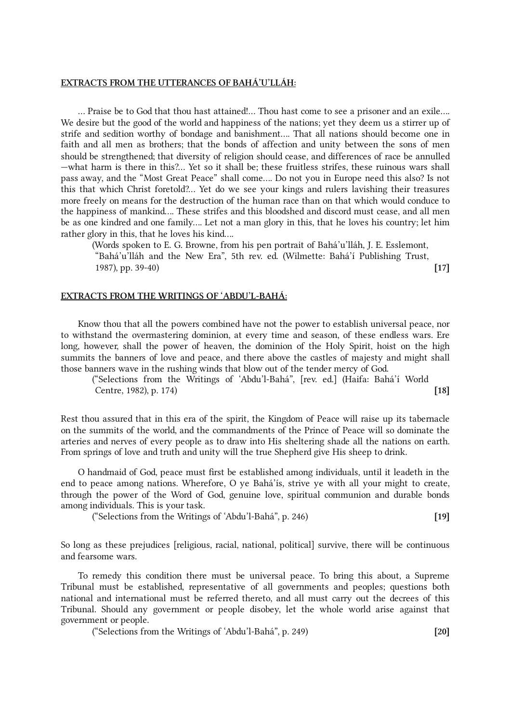# EXTRACTS FROM THE UTTERANCES OF BAHÁ'U'LLÁH:

... Praise be to God that thou hast attained!... Thou hast come to see a prisoner and an exile.... We desire but the good of the world and happiness of the nations; yet they deem us a stirrer up of strife and sedition worthy of bondage and banishment.... That all nations should become one in faith and all men as brothers; that the bonds of affection and unity between the sons of men should be strengthened; that diversity of religion should cease, and differences of race be annulled —what harm is there in this?... Yet so it shall be; these fruitless strifes, these ruinous wars shall pass away, and the "Most Great Peace" shall come.... Do not you in Europe need this also? Is not this that which Christ foretold?... Yet do we see your kings and rulers lavishing their treasures more freely on means for the destruction of the human race than on that which would conduce to the happiness of mankind.... These strifes and this bloodshed and discord must cease, and all men be as one kindred and one family.... Let not a man glory in this, that he loves his country; let him rather glory in this, that he loves his kind....

(Words spoken to E. G. Browne, from his pen portrait of Bahá'u'lláh, J. E. Esslemont, "Bahá'u'lláh and the New Era", 5th rev. ed. (Wilmette: Bahá'í Publishing Trust, 1987), pp. 39-40) [17]

## EXTRACTS FROM THE WRITINGS OF 'ABDU'L-BAHÁ:

Know thou that all the powers combined have not the power to establish universal peace, nor to withstand the overmastering dominion, at every time and season, of these endless wars. Ere long, however, shall the power of heaven, the dominion of the Holy Spirit, hoist on the high summits the banners of love and peace, and there above the castles of majesty and might shall those banners wave in the rushing winds that blow out of the tender mercy of God.

("Selections from the Writings of 'Abdu'l-Bahá", [rev. ed.] (Haifa: Bahá'í World Centre, 1982), p. 174) [18]

Rest thou assured that in this era of the spirit, the Kingdom of Peace will raise up its tabernacle on the summits of the world, and the commandments of the Prince of Peace will so dominate the arteries and nerves of every people as to draw into His sheltering shade all the nations on earth. From springs of love and truth and unity will the true Shepherd give His sheep to drink.

O handmaid of God, peace must first be established among individuals, until it leadeth in the end to peace among nations. Wherefore, O ye Bahá'ís, strive ye with all your might to create, through the power of the Word of God, genuine love, spiritual communion and durable bonds among individuals. This is your task.

("Selections from the Writings of 'Abdu'l-Bahá", p. 246) [19]

So long as these prejudices [religious, racial, national, political] survive, there will be continuous and fearsome wars.

To remedy this condition there must be universal peace. To bring this about, a Supreme Tribunal must be established, representative of all governments and peoples; questions both national and international must be referred thereto, and all must carry out the decrees of this Tribunal. Should any government or people disobey, let the whole world arise against that government or people.

("Selections from the Writings of 'Abdu'l-Bahá", p. 249) [20]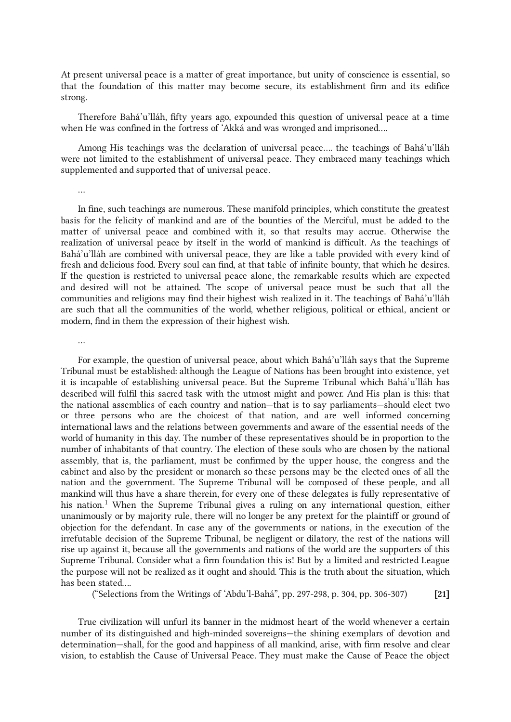At present universal peace is a matter of great importance, but unity of conscience is essential, so that the foundation of this matter may become secure, its establishment firm and its edifice strong.

Therefore Bahá'u'lláh, fifty years ago, expounded this question of universal peace at a time when He was confined in the fortress of 'Akká and was wronged and imprisoned....

Among His teachings was the declaration of universal peace.... the teachings of Bahá'u'lláh were not limited to the establishment of universal peace. They embraced many teachings which supplemented and supported that of universal peace.

...

In fine, such teachings are numerous. These manifold principles, which constitute the greatest basis for the felicity of mankind and are of the bounties of the Merciful, must be added to the matter of universal peace and combined with it, so that results may accrue. Otherwise the realization of universal peace by itself in the world of mankind is difficult. As the teachings of Bahá'u'lláh are combined with universal peace, they are like a table provided with every kind of fresh and delicious food. Every soul can find, at that table of infinite bounty, that which he desires. If the question is restricted to universal peace alone, the remarkable results which are expected and desired will not be attained. The scope of universal peace must be such that all the communities and religions may find their highest wish realized in it. The teachings of Bahá'u'lláh are such that all the communities of the world, whether religious, political or ethical, ancient or modern, find in them the expression of their highest wish.

<span id="page-5-0"></span>...

For example, the question of universal peace, about which Bahá'u'lláh says that the Supreme Tribunal must be established: although the League of Nations has been brought into existence, yet it is incapable of establishing universal peace. But the Supreme Tribunal which Bahá'u'lláh has described will fulfil this sacred task with the utmost might and power. And His plan is this: that the national assemblies of each country and nation—that is to say parliaments—should elect two or three persons who are the choicest of that nation, and are well informed concerning international laws and the relations between governments and aware of the essential needs of the world of humanity in this day. The number of these representatives should be in proportion to the number of inhabitants of that country. The election of these souls who are chosen by the national assembly, that is, the parliament, must be confirmed by the upper house, the congress and the cabinet and also by the president or monarch so these persons may be the elected ones of all the nation and the government. The Supreme Tribunal will be composed of these people, and all mankind will thus have a share therein, for every one of these delegates is fully representative of his nation.<sup>[1](#page-30-0)</sup> When the Supreme Tribunal gives a ruling on any international question, either unanimously or by majority rule, there will no longer be any pretext for the plaintiff or ground of objection for the defendant. In case any of the governments or nations, in the execution of the irrefutable decision of the Supreme Tribunal, be negligent or dilatory, the rest of the nations will rise up against it, because all the governments and nations of the world are the supporters of this Supreme Tribunal. Consider what a firm foundation this is! But by a limited and restricted League the purpose will not be realized as it ought and should. This is the truth about the situation, which has been stated....

("Selections from the Writings of 'Abdu'l-Bahá", pp. 297-298, p. 304, pp. 306-307) [21]

True civilization will unfurl its banner in the midmost heart of the world whenever a certain number of its distinguished and high-minded sovereigns—the shining exemplars of devotion and determination—shall, for the good and happiness of all mankind, arise, with firm resolve and clear vision, to establish the Cause of Universal Peace. They must make the Cause of Peace the object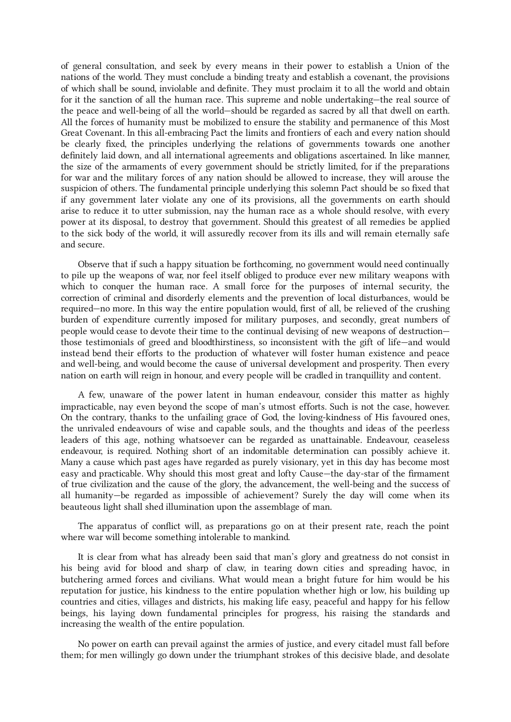of general consultation, and seek by every means in their power to establish a Union of the nations of the world. They must conclude a binding treaty and establish a covenant, the provisions of which shall be sound, inviolable and definite. They must proclaim it to all the world and obtain for it the sanction of all the human race. This supreme and noble undertaking—the real source of the peace and well-being of all the world—should be regarded as sacred by all that dwell on earth. All the forces of humanity must be mobilized to ensure the stability and permanence of this Most Great Covenant. In this all-embracing Pact the limits and frontiers of each and every nation should be clearly fixed, the principles underlying the relations of governments towards one another definitely laid down, and all international agreements and obligations ascertained. In like manner, the size of the armaments of every government should be strictly limited, for if the preparations for war and the military forces of any nation should be allowed to increase, they will arouse the suspicion of others. The fundamental principle underlying this solemn Pact should be so fixed that if any government later violate any one of its provisions, all the governments on earth should arise to reduce it to utter submission, nay the human race as a whole should resolve, with every power at its disposal, to destroy that government. Should this greatest of all remedies be applied to the sick body of the world, it will assuredly recover from its ills and will remain eternally safe and secure.

Observe that if such a happy situation be forthcoming, no government would need continually to pile up the weapons of war, nor feel itself obliged to produce ever new military weapons with which to conquer the human race. A small force for the purposes of internal security, the correction of criminal and disorderly elements and the prevention of local disturbances, would be required—no more. In this way the entire population would, first of all, be relieved of the crushing burden of expenditure currently imposed for military purposes, and secondly, great numbers of people would cease to devote their time to the continual devising of new weapons of destruction those testimonials of greed and bloodthirstiness, so inconsistent with the gift of life—and would instead bend their efforts to the production of whatever will foster human existence and peace and well-being, and would become the cause of universal development and prosperity. Then every nation on earth will reign in honour, and every people will be cradled in tranquillity and content.

A few, unaware of the power latent in human endeavour, consider this matter as highly impracticable, nay even beyond the scope of man's utmost efforts. Such is not the case, however. On the contrary, thanks to the unfailing grace of God, the loving-kindness of His favoured ones, the unrivaled endeavours of wise and capable souls, and the thoughts and ideas of the peerless leaders of this age, nothing whatsoever can be regarded as unattainable. Endeavour, ceaseless endeavour, is required. Nothing short of an indomitable determination can possibly achieve it. Many a cause which past ages have regarded as purely visionary, yet in this day has become most easy and practicable. Why should this most great and lofty Cause—the day-star of the firmament of true civilization and the cause of the glory, the advancement, the well-being and the success of all humanity—be regarded as impossible of achievement? Surely the day will come when its beauteous light shall shed illumination upon the assemblage of man.

The apparatus of conflict will, as preparations go on at their present rate, reach the point where war will become something intolerable to mankind.

It is clear from what has already been said that man's glory and greatness do not consist in his being avid for blood and sharp of claw, in tearing down cities and spreading havoc, in butchering armed forces and civilians. What would mean a bright future for him would be his reputation for justice, his kindness to the entire population whether high or low, his building up countries and cities, villages and districts, his making life easy, peaceful and happy for his fellow beings, his laying down fundamental principles for progress, his raising the standards and increasing the wealth of the entire population.

No power on earth can prevail against the armies of justice, and every citadel must fall before them; for men willingly go down under the triumphant strokes of this decisive blade, and desolate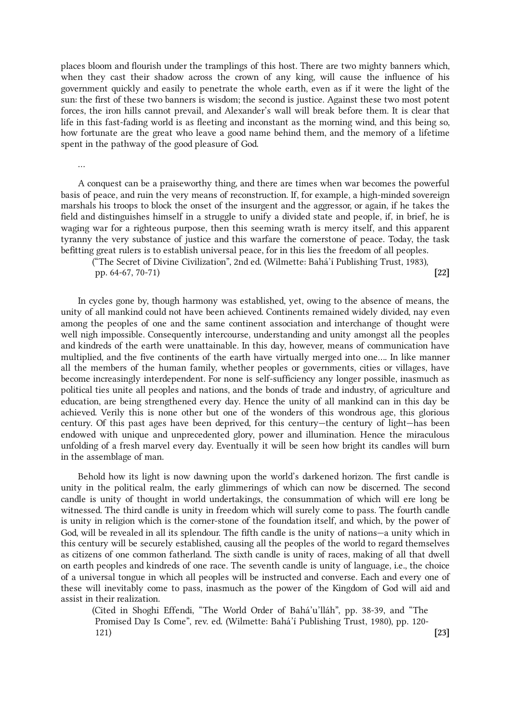places bloom and flourish under the tramplings of this host. There are two mighty banners which, when they cast their shadow across the crown of any king, will cause the influence of his government quickly and easily to penetrate the whole earth, even as if it were the light of the sun: the first of these two banners is wisdom; the second is justice. Against these two most potent forces, the iron hills cannot prevail, and Alexander's wall will break before them. It is clear that life in this fast-fading world is as fleeting and inconstant as the morning wind, and this being so, how fortunate are the great who leave a good name behind them, and the memory of a lifetime spent in the pathway of the good pleasure of God.

...

A conquest can be a praiseworthy thing, and there are times when war becomes the powerful basis of peace, and ruin the very means of reconstruction. If, for example, a high-minded sovereign marshals his troops to block the onset of the insurgent and the aggressor, or again, if he takes the field and distinguishes himself in a struggle to unify a divided state and people, if, in brief, he is waging war for a righteous purpose, then this seeming wrath is mercy itself, and this apparent tyranny the very substance of justice and this warfare the cornerstone of peace. Today, the task befitting great rulers is to establish universal peace, for in this lies the freedom of all peoples.

("The Secret of Divine Civilization", 2nd ed. (Wilmette: Bahá'í Publishing Trust, 1983), pp. 64-67, 70-71) [22]

In cycles gone by, though harmony was established, yet, owing to the absence of means, the unity of all mankind could not have been achieved. Continents remained widely divided, nay even among the peoples of one and the same continent association and interchange of thought were well nigh impossible. Consequently intercourse, understanding and unity amongst all the peoples and kindreds of the earth were unattainable. In this day, however, means of communication have multiplied, and the five continents of the earth have virtually merged into one.... In like manner all the members of the human family, whether peoples or governments, cities or villages, have become increasingly interdependent. For none is self-sufficiency any longer possible, inasmuch as political ties unite all peoples and nations, and the bonds of trade and industry, of agriculture and education, are being strengthened every day. Hence the unity of all mankind can in this day be achieved. Verily this is none other but one of the wonders of this wondrous age, this glorious century. Of this past ages have been deprived, for this century—the century of light—has been endowed with unique and unprecedented glory, power and illumination. Hence the miraculous unfolding of a fresh marvel every day. Eventually it will be seen how bright its candles will burn in the assemblage of man.

Behold how its light is now dawning upon the world's darkened horizon. The first candle is unity in the political realm, the early glimmerings of which can now be discerned. The second candle is unity of thought in world undertakings, the consummation of which will ere long be witnessed. The third candle is unity in freedom which will surely come to pass. The fourth candle is unity in religion which is the corner-stone of the foundation itself, and which, by the power of God, will be revealed in all its splendour. The fifth candle is the unity of nations—a unity which in this century will be securely established, causing all the peoples of the world to regard themselves as citizens of one common fatherland. The sixth candle is unity of races, making of all that dwell on earth peoples and kindreds of one race. The seventh candle is unity of language, i.e., the choice of a universal tongue in which all peoples will be instructed and converse. Each and every one of these will inevitably come to pass, inasmuch as the power of the Kingdom of God will aid and assist in their realization.

(Cited in Shoghi Effendi, "The World Order of Bahá'u'lláh", pp. 38-39, and "The Promised Day Is Come", rev. ed. (Wilmette: Bahá'í Publishing Trust, 1980), pp. 120-  $(23)$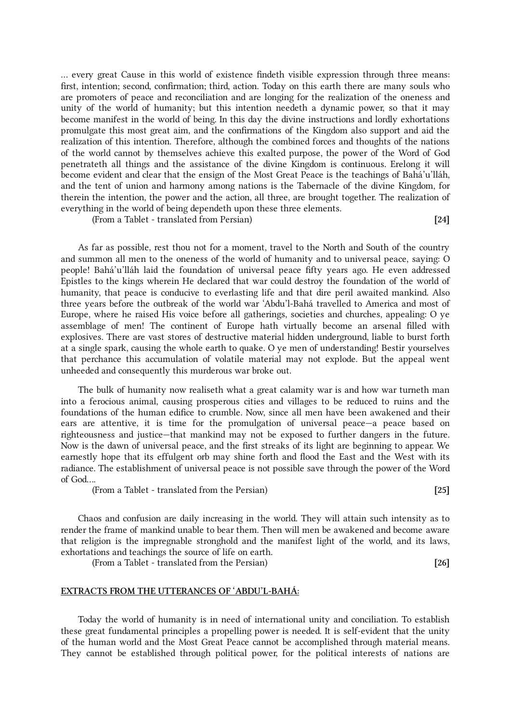... every great Cause in this world of existence findeth visible expression through three means: first, intention; second, confirmation; third, action. Today on this earth there are many souls who are promoters of peace and reconciliation and are longing for the realization of the oneness and unity of the world of humanity; but this intention needeth a dynamic power, so that it may become manifest in the world of being. In this day the divine instructions and lordly exhortations promulgate this most great aim, and the confirmations of the Kingdom also support and aid the realization of this intention. Therefore, although the combined forces and thoughts of the nations of the world cannot by themselves achieve this exalted purpose, the power of the Word of God penetrateth all things and the assistance of the divine Kingdom is continuous. Erelong it will become evident and clear that the ensign of the Most Great Peace is the teachings of Bahá'u'lláh, and the tent of union and harmony among nations is the Tabernacle of the divine Kingdom, for therein the intention, the power and the action, all three, are brought together. The realization of everything in the world of being dependeth upon these three elements.

(From a Tablet - translated from Persian) [24]

As far as possible, rest thou not for a moment, travel to the North and South of the country and summon all men to the oneness of the world of humanity and to universal peace, saying: O people! Bahá'u'lláh laid the foundation of universal peace fifty years ago. He even addressed Epistles to the kings wherein He declared that war could destroy the foundation of the world of humanity, that peace is conducive to everlasting life and that dire peril awaited mankind. Also three years before the outbreak of the world war 'Abdu'l-Bahá travelled to America and most of Europe, where he raised His voice before all gatherings, societies and churches, appealing: O ye assemblage of men! The continent of Europe hath virtually become an arsenal filled with explosives. There are vast stores of destructive material hidden underground, liable to burst forth at a single spark, causing the whole earth to quake. O ye men of understanding! Bestir yourselves that perchance this accumulation of volatile material may not explode. But the appeal went unheeded and consequently this murderous war broke out.

The bulk of humanity now realiseth what a great calamity war is and how war turneth man into a ferocious animal, causing prosperous cities and villages to be reduced to ruins and the foundations of the human edifice to crumble. Now, since all men have been awakened and their ears are attentive, it is time for the promulgation of universal peace—a peace based on righteousness and justice—that mankind may not be exposed to further dangers in the future. Now is the dawn of universal peace, and the first streaks of its light are beginning to appear. We earnestly hope that its effulgent orb may shine forth and flood the East and the West with its radiance. The establishment of universal peace is not possible save through the power of the Word of God....

(From a Tablet - translated from the Persian) [25]

Chaos and confusion are daily increasing in the world. They will attain such intensity as to render the frame of mankind unable to bear them. Then will men be awakened and become aware that religion is the impregnable stronghold and the manifest light of the world, and its laws, exhortations and teachings the source of life on earth.

(From a Tablet - translated from the Persian) [26]

# EXTRACTS FROM THE UTTERANCES OF 'ABDU'L-BAHÁ:

Today the world of humanity is in need of international unity and conciliation. To establish these great fundamental principles a propelling power is needed. It is self-evident that the unity of the human world and the Most Great Peace cannot be accomplished through material means. They cannot be established through political power, for the political interests of nations are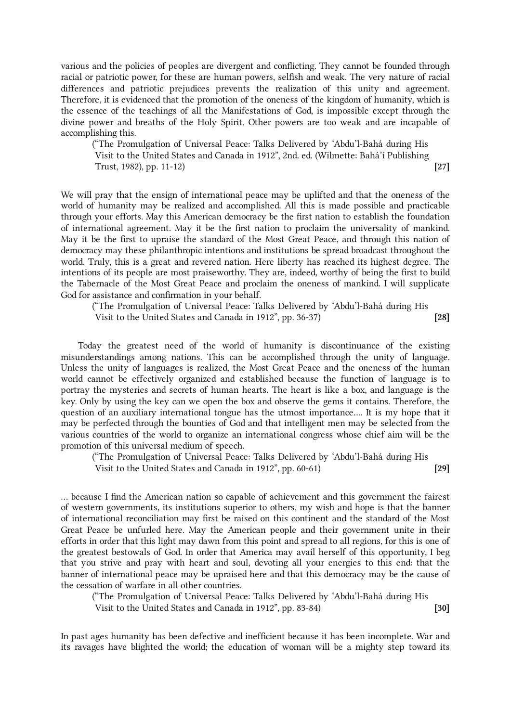various and the policies of peoples are divergent and conflicting. They cannot be founded through racial or patriotic power, for these are human powers, selfish and weak. The very nature of racial differences and patriotic prejudices prevents the realization of this unity and agreement. Therefore, it is evidenced that the promotion of the oneness of the kingdom of humanity, which is the essence of the teachings of all the Manifestations of God, is impossible except through the divine power and breaths of the Holy Spirit. Other powers are too weak and are incapable of accomplishing this.

("The Promulgation of Universal Peace: Talks Delivered by 'Abdu'l-Bahá during His Visit to the United States and Canada in 1912", 2nd. ed. (Wilmette: Bahá'í Publishing Trust, 1982), pp. 11-12) [27]

We will pray that the ensign of international peace may be uplifted and that the oneness of the world of humanity may be realized and accomplished. All this is made possible and practicable through your efforts. May this American democracy be the first nation to establish the foundation of international agreement. May it be the first nation to proclaim the universality of mankind. May it be the first to upraise the standard of the Most Great Peace, and through this nation of democracy may these philanthropic intentions and institutions be spread broadcast throughout the world. Truly, this is a great and revered nation. Here liberty has reached its highest degree. The intentions of its people are most praiseworthy. They are, indeed, worthy of being the first to build the Tabernacle of the Most Great Peace and proclaim the oneness of mankind. I will supplicate God for assistance and confirmation in your behalf.

("The Promulgation of Universal Peace: Talks Delivered by 'Abdu'l-Bahá during His Visit to the United States and Canada in 1912", pp. 36-37) [28]

Today the greatest need of the world of humanity is discontinuance of the existing misunderstandings among nations. This can be accomplished through the unity of language. Unless the unity of languages is realized, the Most Great Peace and the oneness of the human world cannot be effectively organized and established because the function of language is to portray the mysteries and secrets of human hearts. The heart is like a box, and language is the key. Only by using the key can we open the box and observe the gems it contains. Therefore, the question of an auxiliary international tongue has the utmost importance.... It is my hope that it may be perfected through the bounties of God and that intelligent men may be selected from the various countries of the world to organize an international congress whose chief aim will be the promotion of this universal medium of speech.

("The Promulgation of Universal Peace: Talks Delivered by 'Abdu'l-Bahá during His Visit to the United States and Canada in 1912", pp. 60-61) [29]

... because I find the American nation so capable of achievement and this government the fairest of western governments, its institutions superior to others, my wish and hope is that the banner of international reconciliation may first be raised on this continent and the standard of the Most Great Peace be unfurled here. May the American people and their government unite in their efforts in order that this light may dawn from this point and spread to all regions, for this is one of the greatest bestowals of God. In order that America may avail herself of this opportunity, I beg that you strive and pray with heart and soul, devoting all your energies to this end: that the banner of international peace may be upraised here and that this democracy may be the cause of the cessation of warfare in all other countries.

("The Promulgation of Universal Peace: Talks Delivered by 'Abdu'l-Bahá during His Visit to the United States and Canada in 1912", pp. 83-84) [30]

In past ages humanity has been defective and inefficient because it has been incomplete. War and its ravages have blighted the world; the education of woman will be a mighty step toward its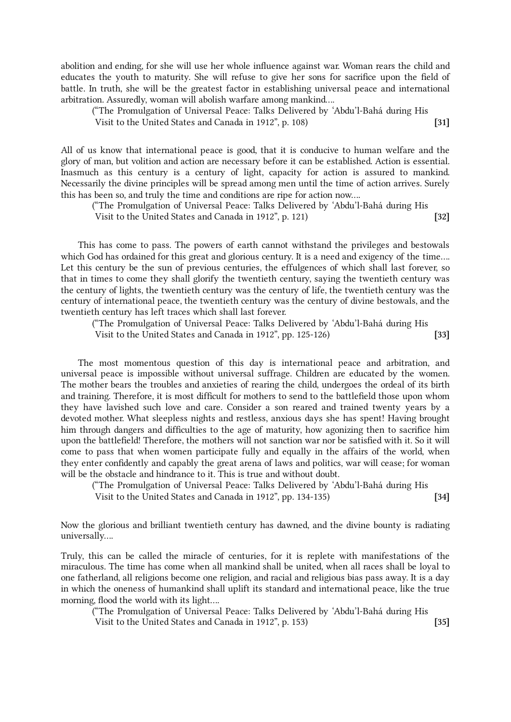abolition and ending, for she will use her whole influence against war. Woman rears the child and educates the youth to maturity. She will refuse to give her sons for sacrifice upon the field of battle. In truth, she will be the greatest factor in establishing universal peace and international arbitration. Assuredly, woman will abolish warfare among mankind....

("The Promulgation of Universal Peace: Talks Delivered by 'Abdu'l-Bahá during His Visit to the United States and Canada in 1912", p. 108) [31]

All of us know that international peace is good, that it is conducive to human welfare and the glory of man, but volition and action are necessary before it can be established. Action is essential. Inasmuch as this century is a century of light, capacity for action is assured to mankind. Necessarily the divine principles will be spread among men until the time of action arrives. Surely this has been so, and truly the time and conditions are ripe for action now....

("The Promulgation of Universal Peace: Talks Delivered by 'Abdu'l-Bahá during His Visit to the United States and Canada in 1912", p. 121) [32]

This has come to pass. The powers of earth cannot withstand the privileges and bestowals which God has ordained for this great and glorious century. It is a need and exigency of the time.... Let this century be the sun of previous centuries, the effulgences of which shall last forever, so that in times to come they shall glorify the twentieth century, saying the twentieth century was the century of lights, the twentieth century was the century of life, the twentieth century was the century of international peace, the twentieth century was the century of divine bestowals, and the twentieth century has left traces which shall last forever.

("The Promulgation of Universal Peace: Talks Delivered by 'Abdu'l-Bahá during His Visit to the United States and Canada in 1912", pp. 125-126) [33]

The most momentous question of this day is international peace and arbitration, and universal peace is impossible without universal suffrage. Children are educated by the women. The mother bears the troubles and anxieties of rearing the child, undergoes the ordeal of its birth and training. Therefore, it is most difficult for mothers to send to the battlefield those upon whom they have lavished such love and care. Consider a son reared and trained twenty years by a devoted mother. What sleepless nights and restless, anxious days she has spent! Having brought him through dangers and difficulties to the age of maturity, how agonizing then to sacrifice him upon the battlefield! Therefore, the mothers will not sanction war nor be satisfied with it. So it will come to pass that when women participate fully and equally in the affairs of the world, when they enter confidently and capably the great arena of laws and politics, war will cease; for woman will be the obstacle and hindrance to it. This is true and without doubt.

("The Promulgation of Universal Peace: Talks Delivered by 'Abdu'l-Bahá during His Visit to the United States and Canada in 1912", pp. 134-135) [34]

Now the glorious and brilliant twentieth century has dawned, and the divine bounty is radiating universally....

Truly, this can be called the miracle of centuries, for it is replete with manifestations of the miraculous. The time has come when all mankind shall be united, when all races shall be loyal to one fatherland, all religions become one religion, and racial and religious bias pass away. It is a day in which the oneness of humankind shall uplift its standard and international peace, like the true morning, flood the world with its light....

("The Promulgation of Universal Peace: Talks Delivered by 'Abdu'l-Bahá during His Visit to the United States and Canada in 1912", p. 153) [35]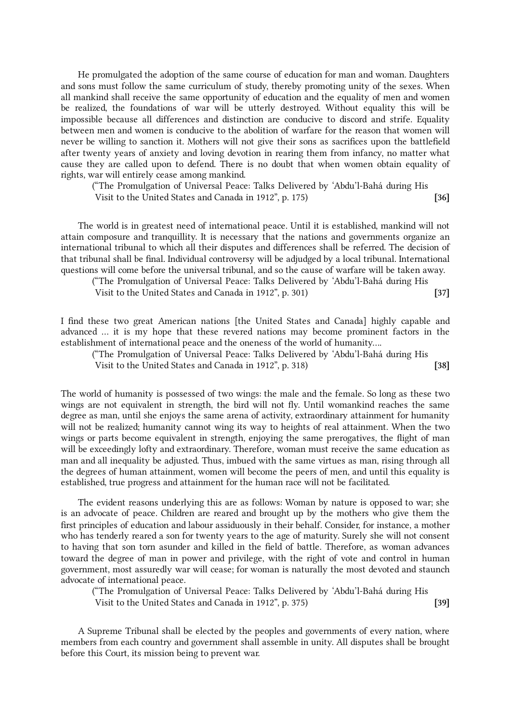He promulgated the adoption of the same course of education for man and woman. Daughters and sons must follow the same curriculum of study, thereby promoting unity of the sexes. When all mankind shall receive the same opportunity of education and the equality of men and women be realized, the foundations of war will be utterly destroyed. Without equality this will be impossible because all differences and distinction are conducive to discord and strife. Equality between men and women is conducive to the abolition of warfare for the reason that women will never be willing to sanction it. Mothers will not give their sons as sacrifices upon the battlefield after twenty years of anxiety and loving devotion in rearing them from infancy, no matter what cause they are called upon to defend. There is no doubt that when women obtain equality of rights, war will entirely cease among mankind.

("The Promulgation of Universal Peace: Talks Delivered by 'Abdu'l-Bahá during His Visit to the United States and Canada in 1912", p. 175) [36]

The world is in greatest need of international peace. Until it is established, mankind will not attain composure and tranquillity. It is necessary that the nations and governments organize an international tribunal to which all their disputes and differences shall be referred. The decision of that tribunal shall be final. Individual controversy will be adjudged by a local tribunal. International questions will come before the universal tribunal, and so the cause of warfare will be taken away.

("The Promulgation of Universal Peace: Talks Delivered by 'Abdu'l-Bahá during His Visit to the United States and Canada in 1912", p. 301) [37]

I find these two great American nations [the United States and Canada] highly capable and advanced ... it is my hope that these revered nations may become prominent factors in the establishment of international peace and the oneness of the world of humanity....

("The Promulgation of Universal Peace: Talks Delivered by 'Abdu'l-Bahá during His Visit to the United States and Canada in 1912", p. 318) [38]

The world of humanity is possessed of two wings: the male and the female. So long as these two wings are not equivalent in strength, the bird will not fly. Until womankind reaches the same degree as man, until she enjoys the same arena of activity, extraordinary attainment for humanity will not be realized; humanity cannot wing its way to heights of real attainment. When the two wings or parts become equivalent in strength, enjoying the same prerogatives, the flight of man will be exceedingly lofty and extraordinary. Therefore, woman must receive the same education as man and all inequality be adjusted. Thus, imbued with the same virtues as man, rising through all the degrees of human attainment, women will become the peers of men, and until this equality is established, true progress and attainment for the human race will not be facilitated.

The evident reasons underlying this are as follows: Woman by nature is opposed to war; she is an advocate of peace. Children are reared and brought up by the mothers who give them the first principles of education and labour assiduously in their behalf. Consider, for instance, a mother who has tenderly reared a son for twenty years to the age of maturity. Surely she will not consent to having that son torn asunder and killed in the field of battle. Therefore, as woman advances toward the degree of man in power and privilege, with the right of vote and control in human government, most assuredly war will cease; for woman is naturally the most devoted and staunch advocate of international peace.

("The Promulgation of Universal Peace: Talks Delivered by 'Abdu'l-Bahá during His Visit to the United States and Canada in 1912", p. 375) [39]

A Supreme Tribunal shall be elected by the peoples and governments of every nation, where members from each country and government shall assemble in unity. All disputes shall be brought before this Court, its mission being to prevent war.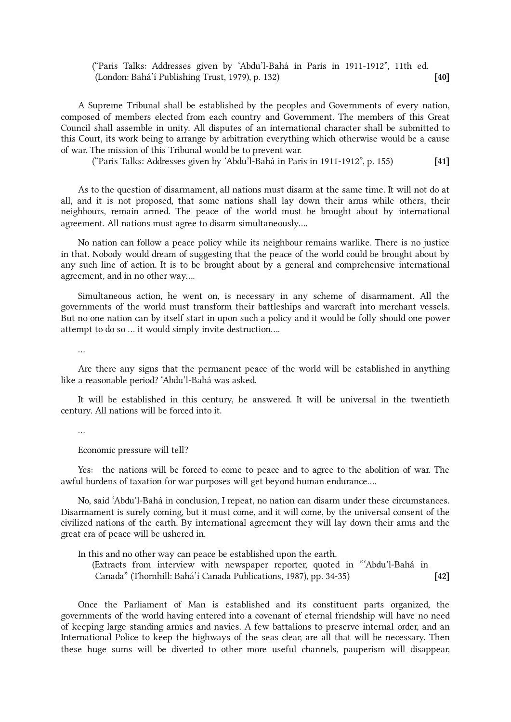("Paris Talks: Addresses given by 'Abdu'l-Bahá in Paris in 1911-1912", 11th ed. (London: Bahá'í Publishing Trust, 1979), p. 132) [40]

A Supreme Tribunal shall be established by the peoples and Governments of every nation, composed of members elected from each country and Government. The members of this Great Council shall assemble in unity. All disputes of an international character shall be submitted to this Court, its work being to arrange by arbitration everything which otherwise would be a cause of war. The mission of this Tribunal would be to prevent war.

("Paris Talks: Addresses given by 'Abdu'l-Bahá in Paris in 1911-1912", p. 155) [41]

As to the question of disarmament, all nations must disarm at the same time. It will not do at all, and it is not proposed, that some nations shall lay down their arms while others, their neighbours, remain armed. The peace of the world must be brought about by international agreement. All nations must agree to disarm simultaneously....

No nation can follow a peace policy while its neighbour remains warlike. There is no justice in that. Nobody would dream of suggesting that the peace of the world could be brought about by any such line of action. It is to be brought about by a general and comprehensive international agreement, and in no other way....

Simultaneous action, he went on, is necessary in any scheme of disarmament. All the governments of the world must transform their battleships and warcraft into merchant vessels. But no one nation can by itself start in upon such a policy and it would be folly should one power attempt to do so ... it would simply invite destruction....

...

Are there any signs that the permanent peace of the world will be established in anything like a reasonable period? 'Abdu'l-Bahá was asked.

It will be established in this century, he answered. It will be universal in the twentieth century. All nations will be forced into it.

...

Economic pressure will tell?

Yes: the nations will be forced to come to peace and to agree to the abolition of war. The awful burdens of taxation for war purposes will get beyond human endurance....

No, said 'Abdu'l-Bahá in conclusion, I repeat, no nation can disarm under these circumstances. Disarmament is surely coming, but it must come, and it will come, by the universal consent of the civilized nations of the earth. By international agreement they will lay down their arms and the great era of peace will be ushered in.

In this and no other way can peace be established upon the earth.

(Extracts from interview with newspaper reporter, quoted in "'Abdu'l-Bahá in Canada" (Thornhill: Bahá'í Canada Publications, 1987), pp. 34-35) [42]

Once the Parliament of Man is established and its constituent parts organized, the governments of the world having entered into a covenant of eternal friendship will have no need of keeping large standing armies and navies. A few battalions to preserve internal order, and an International Police to keep the highways of the seas clear, are all that will be necessary. Then these huge sums will be diverted to other more useful channels, pauperism will disappear,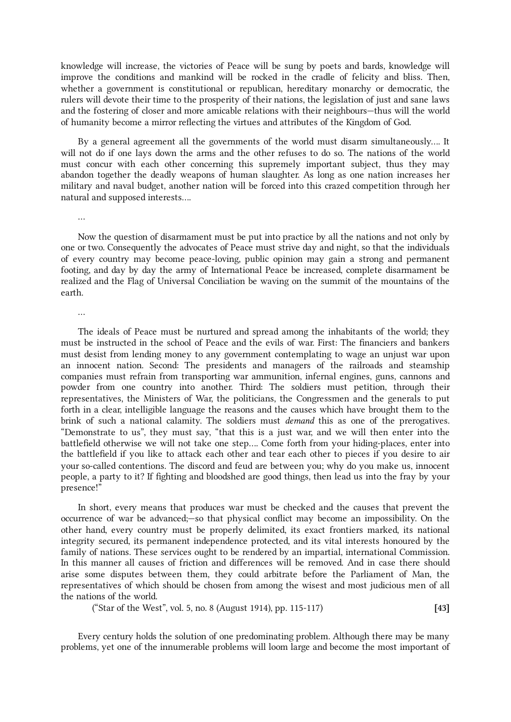knowledge will increase, the victories of Peace will be sung by poets and bards, knowledge will improve the conditions and mankind will be rocked in the cradle of felicity and bliss. Then, whether a government is constitutional or republican, hereditary monarchy or democratic, the rulers will devote their time to the prosperity of their nations, the legislation of just and sane laws and the fostering of closer and more amicable relations with their neighbours—thus will the world of humanity become a mirror reflecting the virtues and attributes of the Kingdom of God.

By a general agreement all the governments of the world must disarm simultaneously.... It will not do if one lays down the arms and the other refuses to do so. The nations of the world must concur with each other concerning this supremely important subject, thus they may abandon together the deadly weapons of human slaughter. As long as one nation increases her military and naval budget, another nation will be forced into this crazed competition through her natural and supposed interests....

...

Now the question of disarmament must be put into practice by all the nations and not only by one or two. Consequently the advocates of Peace must strive day and night, so that the individuals of every country may become peace-loving, public opinion may gain a strong and permanent footing, and day by day the army of International Peace be increased, complete disarmament be realized and the Flag of Universal Conciliation be waving on the summit of the mountains of the earth.

...

The ideals of Peace must be nurtured and spread among the inhabitants of the world; they must be instructed in the school of Peace and the evils of war. First: The financiers and bankers must desist from lending money to any government contemplating to wage an unjust war upon an innocent nation. Second: The presidents and managers of the railroads and steamship companies must refrain from transporting war ammunition, infernal engines, guns, cannons and powder from one country into another. Third: The soldiers must petition, through their representatives, the Ministers of War, the politicians, the Congressmen and the generals to put forth in a clear, intelligible language the reasons and the causes which have brought them to the brink of such a national calamity. The soldiers must demand this as one of the prerogatives. "Demonstrate to us", they must say, "that this is a just war, and we will then enter into the battlefield otherwise we will not take one step.... Come forth from your hiding-places, enter into the battlefield if you like to attack each other and tear each other to pieces if you desire to air your so-called contentions. The discord and feud are between you; why do you make us, innocent people, a party to it? If fighting and bloodshed are good things, then lead us into the fray by your presence!"

In short, every means that produces war must be checked and the causes that prevent the occurrence of war be advanced;—so that physical conflict may become an impossibility. On the other hand, every country must be properly delimited, its exact frontiers marked, its national integrity secured, its permanent independence protected, and its vital interests honoured by the family of nations. These services ought to be rendered by an impartial, international Commission. In this manner all causes of friction and differences will be removed. And in case there should arise some disputes between them, they could arbitrate before the Parliament of Man, the representatives of which should be chosen from among the wisest and most judicious men of all the nations of the world.

("Star of the West", vol. 5, no. 8 (August 1914), pp. 115-117) [43]

Every century holds the solution of one predominating problem. Although there may be many problems, yet one of the innumerable problems will loom large and become the most important of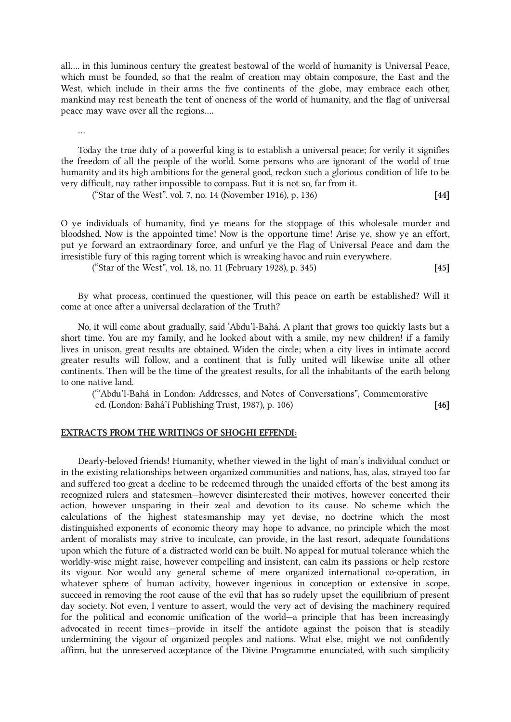all.... in this luminous century the greatest bestowal of the world of humanity is Universal Peace, which must be founded, so that the realm of creation may obtain composure, the East and the West, which include in their arms the five continents of the globe, may embrace each other, mankind may rest beneath the tent of oneness of the world of humanity, and the flag of universal peace may wave over all the regions....

Today the true duty of a powerful king is to establish a universal peace; for verily it signifies the freedom of all the people of the world. Some persons who are ignorant of the world of true humanity and its high ambitions for the general good, reckon such a glorious condition of life to be very difficult, nay rather impossible to compass. But it is not so, far from it.

("Star of the West". vol. 7, no. 14 (November 1916), p. 136) [44]

O ye individuals of humanity, find ye means for the stoppage of this wholesale murder and bloodshed. Now is the appointed time! Now is the opportune time! Arise ye, show ye an effort, put ye forward an extraordinary force, and unfurl ye the Flag of Universal Peace and dam the irresistible fury of this raging torrent which is wreaking havoc and ruin everywhere.

("Star of the West", vol. 18, no. 11 (February 1928), p. 345) [45]

By what process, continued the questioner, will this peace on earth be established? Will it come at once after a universal declaration of the Truth?

No, it will come about gradually, said 'Abdu'l-Bahá. A plant that grows too quickly lasts but a short time. You are my family, and he looked about with a smile, my new children! if a family lives in unison, great results are obtained. Widen the circle; when a city lives in intimate accord greater results will follow, and a continent that is fully united will likewise unite all other continents. Then will be the time of the greatest results, for all the inhabitants of the earth belong to one native land.

("'Abdu'l-Bahá in London: Addresses, and Notes of Conversations", Commemorative ed. (London: Bahá'í Publishing Trust, 1987), p. 106) [46]

#### EXTRACTS FROM THE WRITINGS OF SHOGHI EFFENDI:

...

Dearly-beloved friends! Humanity, whether viewed in the light of man's individual conduct or in the existing relationships between organized communities and nations, has, alas, strayed too far and suffered too great a decline to be redeemed through the unaided efforts of the best among its recognized rulers and statesmen—however disinterested their motives, however concerted their action, however unsparing in their zeal and devotion to its cause. No scheme which the calculations of the highest statesmanship may yet devise, no doctrine which the most distinguished exponents of economic theory may hope to advance, no principle which the most ardent of moralists may strive to inculcate, can provide, in the last resort, adequate foundations upon which the future of a distracted world can be built. No appeal for mutual tolerance which the worldly-wise might raise, however compelling and insistent, can calm its passions or help restore its vigour. Nor would any general scheme of mere organized international co-operation, in whatever sphere of human activity, however ingenious in conception or extensive in scope, succeed in removing the root cause of the evil that has so rudely upset the equilibrium of present day society. Not even, I venture to assert, would the very act of devising the machinery required for the political and economic unification of the world—a principle that has been increasingly advocated in recent times—provide in itself the antidote against the poison that is steadily undermining the vigour of organized peoples and nations. What else, might we not confidently affirm, but the unreserved acceptance of the Divine Programme enunciated, with such simplicity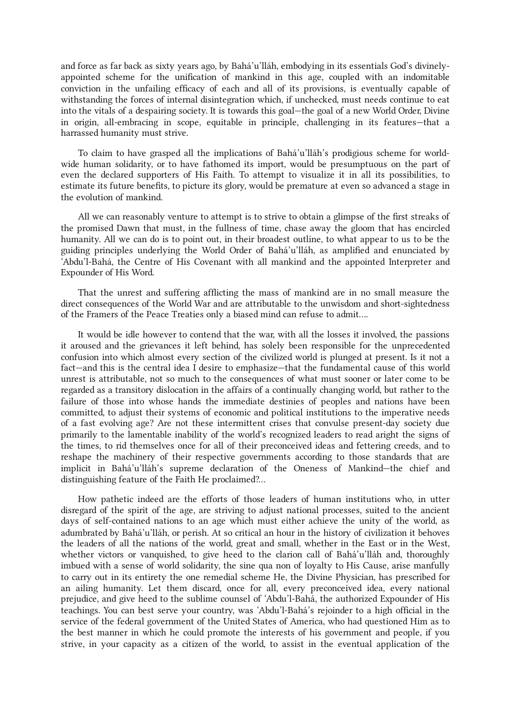and force as far back as sixty years ago, by Bahá'u'lláh, embodying in its essentials God's divinelyappointed scheme for the unification of mankind in this age, coupled with an indomitable conviction in the unfailing efficacy of each and all of its provisions, is eventually capable of withstanding the forces of internal disintegration which, if unchecked, must needs continue to eat into the vitals of a despairing society. It is towards this goal—the goal of a new World Order, Divine in origin, all-embracing in scope, equitable in principle, challenging in its features—that a harrassed humanity must strive.

To claim to have grasped all the implications of Bahá'u'lláh's prodigious scheme for worldwide human solidarity, or to have fathomed its import, would be presumptuous on the part of even the declared supporters of His Faith. To attempt to visualize it in all its possibilities, to estimate its future benefits, to picture its glory, would be premature at even so advanced a stage in the evolution of mankind.

All we can reasonably venture to attempt is to strive to obtain a glimpse of the first streaks of the promised Dawn that must, in the fullness of time, chase away the gloom that has encircled humanity. All we can do is to point out, in their broadest outline, to what appear to us to be the guiding principles underlying the World Order of Bahá'u'lláh, as amplified and enunciated by 'Abdu'l-Bahá, the Centre of His Covenant with all mankind and the appointed Interpreter and Expounder of His Word.

That the unrest and suffering afflicting the mass of mankind are in no small measure the direct consequences of the World War and are attributable to the unwisdom and short-sightedness of the Framers of the Peace Treaties only a biased mind can refuse to admit....

It would be idle however to contend that the war, with all the losses it involved, the passions it aroused and the grievances it left behind, has solely been responsible for the unprecedented confusion into which almost every section of the civilized world is plunged at present. Is it not a fact—and this is the central idea I desire to emphasize—that the fundamental cause of this world unrest is attributable, not so much to the consequences of what must sooner or later come to be regarded as a transitory dislocation in the affairs of a continually changing world, but rather to the failure of those into whose hands the immediate destinies of peoples and nations have been committed, to adjust their systems of economic and political institutions to the imperative needs of a fast evolving age? Are not these intermittent crises that convulse present-day society due primarily to the lamentable inability of the world's recognized leaders to read aright the signs of the times, to rid themselves once for all of their preconceived ideas and fettering creeds, and to reshape the machinery of their respective governments according to those standards that are implicit in Bahá'u'lláh's supreme declaration of the Oneness of Mankind—the chief and distinguishing feature of the Faith He proclaimed?...

How pathetic indeed are the efforts of those leaders of human institutions who, in utter disregard of the spirit of the age, are striving to adjust national processes, suited to the ancient days of self-contained nations to an age which must either achieve the unity of the world, as adumbrated by Bahá'u'lláh, or perish. At so critical an hour in the history of civilization it behoves the leaders of all the nations of the world, great and small, whether in the East or in the West, whether victors or vanquished, to give heed to the clarion call of Bahá'u'lláh and, thoroughly imbued with a sense of world solidarity, the sine qua non of loyalty to His Cause, arise manfully to carry out in its entirety the one remedial scheme He, the Divine Physician, has prescribed for an ailing humanity. Let them discard, once for all, every preconceived idea, every national prejudice, and give heed to the sublime counsel of 'Abdu'l-Bahá, the authorized Expounder of His teachings. You can best serve your country, was 'Abdu'l-Bahá's rejoinder to a high official in the service of the federal government of the United States of America, who had questioned Him as to the best manner in which he could promote the interests of his government and people, if you strive, in your capacity as a citizen of the world, to assist in the eventual application of the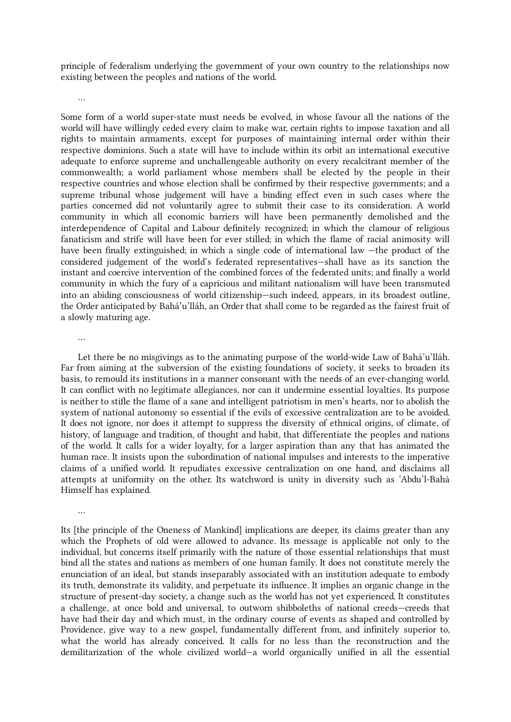principle of federalism underlying the government of your own country to the relationships now existing between the peoples and nations of the world.

Some form of a world super-state must needs be evolved, in whose favour all the nations of the world will have willingly ceded every claim to make war, certain rights to impose taxation and all rights to maintain armaments, except for purposes of maintaining internal order within their respective dominions. Such a state will have to include within its orbit an international executive adequate to enforce supreme and unchallengeable authority on every recalcitrant member of the commonwealth; a world parliament whose members shall be elected by the people in their respective countries and whose election shall be confirmed by their respective governments; and a supreme tribunal whose judgement will have a binding effect even in such cases where the parties concerned did not voluntarily agree to submit their case to its consideration. A world community in which all economic barriers will have been permanently demolished and the interdependence of Capital and Labour definitely recognized; in which the clamour of religious fanaticism and strife will have been for ever stilled; in which the flame of racial animosity will have been finally extinguished; in which a single code of international law —the product of the considered judgement of the world's federated representatives—shall have as its sanction the instant and coercive intervention of the combined forces of the federated units; and finally a world community in which the fury of a capricious and militant nationalism will have been transmuted into an abiding consciousness of world citizenship—such indeed, appears, in its broadest outline, the Order anticipated by Bahá'u'lláh, an Order that shall come to be regarded as the fairest fruit of a slowly maturing age.

...

...

...

Let there be no misgivings as to the animating purpose of the world-wide Law of Bahá'u'lláh. Far from aiming at the subversion of the existing foundations of society, it seeks to broaden its basis, to remould its institutions in a manner consonant with the needs of an ever-changing world. It can conflict with no legitimate allegiances, nor can it undermine essential loyalties. Its purpose is neither to stifle the flame of a sane and intelligent patriotism in men's hearts, nor to abolish the system of national autonomy so essential if the evils of excessive centralization are to be avoided. It does not ignore, nor does it attempt to suppress the diversity of ethnical origins, of climate, of history, of language and tradition, of thought and habit, that differentiate the peoples and nations of the world. It calls for a wider loyalty, for a larger aspiration than any that has animated the human race. It insists upon the subordination of national impulses and interests to the imperative claims of a unified world. It repudiates excessive centralization on one hand, and disclaims all attempts at uniformity on the other. Its watchword is unity in diversity such as 'Abdu'l-Bahá Himself has explained.

Its [the principle of the Oneness of Mankind] implications are deeper, its claims greater than any which the Prophets of old were allowed to advance. Its message is applicable not only to the individual, but concerns itself primarily with the nature of those essential relationships that must bind all the states and nations as members of one human family. It does not constitute merely the enunciation of an ideal, but stands inseparably associated with an institution adequate to embody its truth, demonstrate its validity, and perpetuate its influence. It implies an organic change in the structure of present-day society, a change such as the world has not yet experienced. It constitutes a challenge, at once bold and universal, to outworn shibboleths of national creeds—creeds that have had their day and which must, in the ordinary course of events as shaped and controlled by Providence, give way to a new gospel, fundamentally different from, and infinitely superior to, what the world has already conceived. It calls for no less than the reconstruction and the demilitarization of the whole civilized world—a world organically unified in all the essential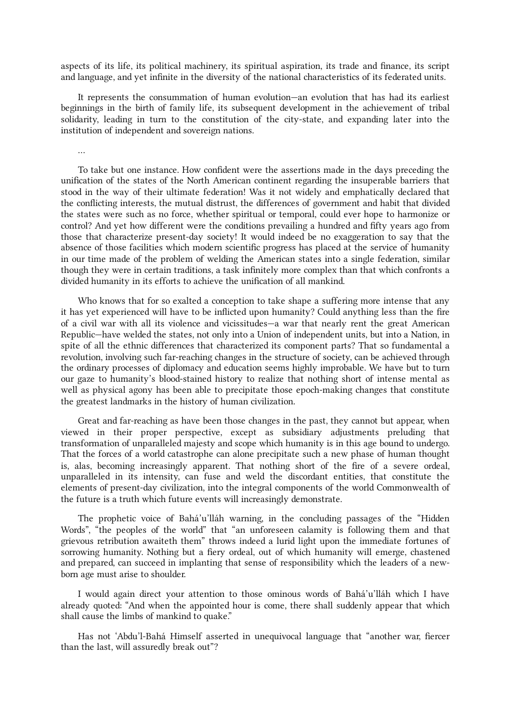aspects of its life, its political machinery, its spiritual aspiration, its trade and finance, its script and language, and yet infinite in the diversity of the national characteristics of its federated units.

It represents the consummation of human evolution—an evolution that has had its earliest beginnings in the birth of family life, its subsequent development in the achievement of tribal solidarity, leading in turn to the constitution of the city-state, and expanding later into the institution of independent and sovereign nations.

...

To take but one instance. How confident were the assertions made in the days preceding the unification of the states of the North American continent regarding the insuperable barriers that stood in the way of their ultimate federation! Was it not widely and emphatically declared that the conflicting interests, the mutual distrust, the differences of government and habit that divided the states were such as no force, whether spiritual or temporal, could ever hope to harmonize or control? And yet how different were the conditions prevailing a hundred and fifty years ago from those that characterize present-day society! It would indeed be no exaggeration to say that the absence of those facilities which modern scientific progress has placed at the service of humanity in our time made of the problem of welding the American states into a single federation, similar though they were in certain traditions, a task infinitely more complex than that which confronts a divided humanity in its efforts to achieve the unification of all mankind.

Who knows that for so exalted a conception to take shape a suffering more intense that any it has yet experienced will have to be inflicted upon humanity? Could anything less than the fire of a civil war with all its violence and vicissitudes—a war that nearly rent the great American Republic—have welded the states, not only into a Union of independent units, but into a Nation, in spite of all the ethnic differences that characterized its component parts? That so fundamental a revolution, involving such far-reaching changes in the structure of society, can be achieved through the ordinary processes of diplomacy and education seems highly improbable. We have but to turn our gaze to humanity's blood-stained history to realize that nothing short of intense mental as well as physical agony has been able to precipitate those epoch-making changes that constitute the greatest landmarks in the history of human civilization.

Great and far-reaching as have been those changes in the past, they cannot but appear, when viewed in their proper perspective, except as subsidiary adjustments preluding that transformation of unparalleled majesty and scope which humanity is in this age bound to undergo. That the forces of a world catastrophe can alone precipitate such a new phase of human thought is, alas, becoming increasingly apparent. That nothing short of the fire of a severe ordeal, unparalleled in its intensity, can fuse and weld the discordant entities, that constitute the elements of present-day civilization, into the integral components of the world Commonwealth of the future is a truth which future events will increasingly demonstrate.

The prophetic voice of Bahá'u'lláh warning, in the concluding passages of the "Hidden Words", "the peoples of the world" that "an unforeseen calamity is following them and that grievous retribution awaiteth them" throws indeed a lurid light upon the immediate fortunes of sorrowing humanity. Nothing but a fiery ordeal, out of which humanity will emerge, chastened and prepared, can succeed in implanting that sense of responsibility which the leaders of a newborn age must arise to shoulder.

I would again direct your attention to those ominous words of Bahá'u'lláh which I have already quoted: "And when the appointed hour is come, there shall suddenly appear that which shall cause the limbs of mankind to quake."

Has not 'Abdu'l-Bahá Himself asserted in unequivocal language that "another war, fiercer than the last, will assuredly break out"?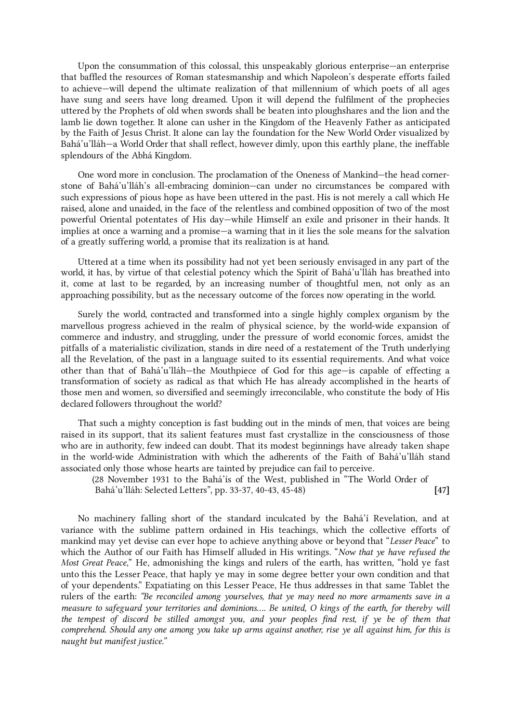Upon the consummation of this colossal, this unspeakably glorious enterprise—an enterprise that baffled the resources of Roman statesmanship and which Napoleon's desperate efforts failed to achieve—will depend the ultimate realization of that millennium of which poets of all ages have sung and seers have long dreamed. Upon it will depend the fulfilment of the prophecies uttered by the Prophets of old when swords shall be beaten into ploughshares and the lion and the lamb lie down together. It alone can usher in the Kingdom of the Heavenly Father as anticipated by the Faith of Jesus Christ. It alone can lay the foundation for the New World Order visualized by Bahá'u'lláh—a World Order that shall reflect, however dimly, upon this earthly plane, the ineffable splendours of the Abhá Kingdom.

One word more in conclusion. The proclamation of the Oneness of Mankind—the head cornerstone of Bahá'u'lláh's all-embracing dominion—can under no circumstances be compared with such expressions of pious hope as have been uttered in the past. His is not merely a call which He raised, alone and unaided, in the face of the relentless and combined opposition of two of the most powerful Oriental potentates of His day—while Himself an exile and prisoner in their hands. It implies at once a warning and a promise—a warning that in it lies the sole means for the salvation of a greatly suffering world, a promise that its realization is at hand.

Uttered at a time when its possibility had not yet been seriously envisaged in any part of the world, it has, by virtue of that celestial potency which the Spirit of Bahá'u'lláh has breathed into it, come at last to be regarded, by an increasing number of thoughtful men, not only as an approaching possibility, but as the necessary outcome of the forces now operating in the world.

Surely the world, contracted and transformed into a single highly complex organism by the marvellous progress achieved in the realm of physical science, by the world-wide expansion of commerce and industry, and struggling, under the pressure of world economic forces, amidst the pitfalls of a materialistic civilization, stands in dire need of a restatement of the Truth underlying all the Revelation, of the past in a language suited to its essential requirements. And what voice other than that of Bahá'u'lláh—the Mouthpiece of God for this age—is capable of effecting a transformation of society as radical as that which He has already accomplished in the hearts of those men and women, so diversified and seemingly irreconcilable, who constitute the body of His declared followers throughout the world?

That such a mighty conception is fast budding out in the minds of men, that voices are being raised in its support, that its salient features must fast crystallize in the consciousness of those who are in authority, few indeed can doubt. That its modest beginnings have already taken shape in the world-wide Administration with which the adherents of the Faith of Bahá'u'lláh stand associated only those whose hearts are tainted by prejudice can fail to perceive.

(28 November 1931 to the Bahá'ís of the West, published in "The World Order of Bahá'u'lláh: Selected Letters", pp. 33-37, 40-43, 45-48) [47]

No machinery falling short of the standard inculcated by the Bahá'í Revelation, and at variance with the sublime pattern ordained in His teachings, which the collective efforts of mankind may yet devise can ever hope to achieve anything above or beyond that "Lesser Peace" to which the Author of our Faith has Himself alluded in His writings. "Now that ye have refused the Most Great Peace," He, admonishing the kings and rulers of the earth, has written, "hold ye fast unto this the Lesser Peace, that haply ye may in some degree better your own condition and that of your dependents." Expatiating on this Lesser Peace, He thus addresses in that same Tablet the rulers of the earth: "Be reconciled among yourselves, that ye may need no more armaments save in a measure to safeguard your territories and dominions.... Be united, O kings of the earth, for thereby will the tempest of discord be stilled amongst you, and your peoples find rest, if ye be of them that comprehend. Should any one among you take up arms against another, rise ye all against him, for this is naught but manifest justice."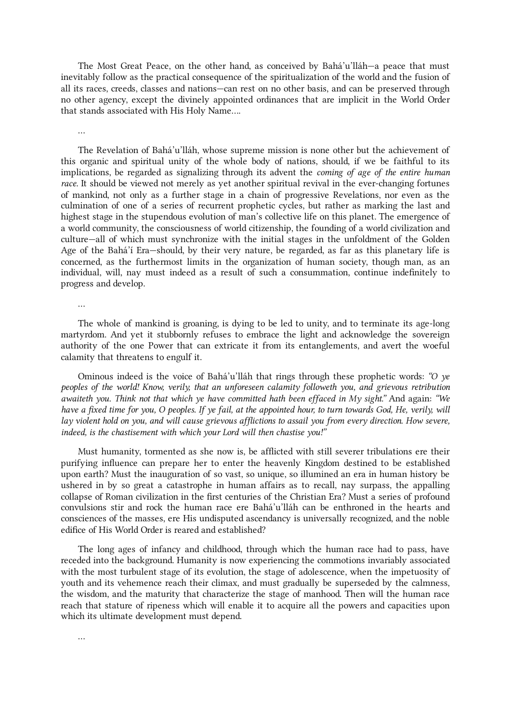The Most Great Peace, on the other hand, as conceived by Bahá'u'lláh—a peace that must inevitably follow as the practical consequence of the spiritualization of the world and the fusion of all its races, creeds, classes and nations—can rest on no other basis, and can be preserved through no other agency, except the divinely appointed ordinances that are implicit in the World Order that stands associated with His Holy Name....

...

The Revelation of Bahá'u'lláh, whose supreme mission is none other but the achievement of this organic and spiritual unity of the whole body of nations, should, if we be faithful to its implications, be regarded as signalizing through its advent the coming of age of the entire human race. It should be viewed not merely as yet another spiritual revival in the ever-changing fortunes of mankind, not only as a further stage in a chain of progressive Revelations, nor even as the culmination of one of a series of recurrent prophetic cycles, but rather as marking the last and highest stage in the stupendous evolution of man's collective life on this planet. The emergence of a world community, the consciousness of world citizenship, the founding of a world civilization and culture—all of which must synchronize with the initial stages in the unfoldment of the Golden Age of the Bahá'í Era—should, by their very nature, be regarded, as far as this planetary life is concerned, as the furthermost limits in the organization of human society, though man, as an individual, will, nay must indeed as a result of such a consummation, continue indefinitely to progress and develop.

...

The whole of mankind is groaning, is dying to be led to unity, and to terminate its age-long martyrdom. And yet it stubbornly refuses to embrace the light and acknowledge the sovereign authority of the one Power that can extricate it from its entanglements, and avert the woeful calamity that threatens to engulf it.

Ominous indeed is the voice of Bahá'u'lláh that rings through these prophetic words: "O ye peoples of the world! Know, verily, that an unforeseen calamity followeth you, and grievous retribution awaiteth you. Think not that which ye have committed hath been effaced in My sight." And again: "We have a fixed time for you, O peoples. If ye fail, at the appointed hour, to turn towards God, He, verily, will lay violent hold on you, and will cause grievous afflictions to assail you from every direction. How severe, indeed, is the chastisement with which your Lord will then chastise you!"

Must humanity, tormented as she now is, be afflicted with still severer tribulations ere their purifying influence can prepare her to enter the heavenly Kingdom destined to be established upon earth? Must the inauguration of so vast, so unique, so illumined an era in human history be ushered in by so great a catastrophe in human affairs as to recall, nay surpass, the appalling collapse of Roman civilization in the first centuries of the Christian Era? Must a series of profound convulsions stir and rock the human race ere Bahá'u'lláh can be enthroned in the hearts and consciences of the masses, ere His undisputed ascendancy is universally recognized, and the noble edifice of His World Order is reared and established?

The long ages of infancy and childhood, through which the human race had to pass, have receded into the background. Humanity is now experiencing the commotions invariably associated with the most turbulent stage of its evolution, the stage of adolescence, when the impetuosity of youth and its vehemence reach their climax, and must gradually be superseded by the calmness, the wisdom, and the maturity that characterize the stage of manhood. Then will the human race reach that stature of ripeness which will enable it to acquire all the powers and capacities upon which its ultimate development must depend.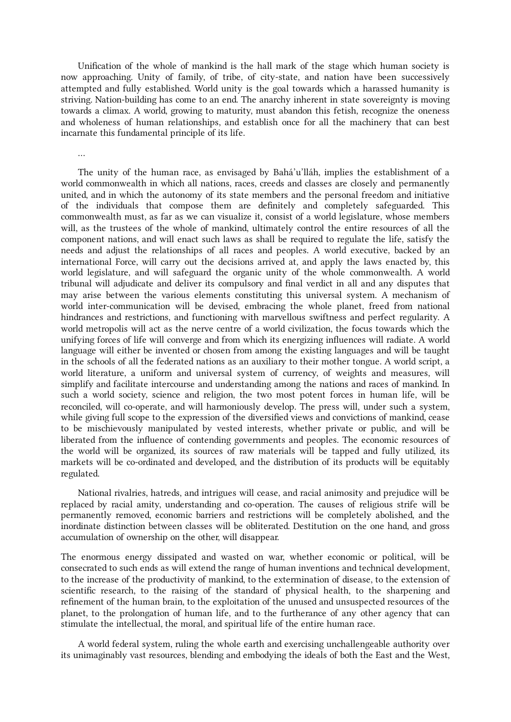Unification of the whole of mankind is the hall mark of the stage which human society is now approaching. Unity of family, of tribe, of city-state, and nation have been successively attempted and fully established. World unity is the goal towards which a harassed humanity is striving. Nation-building has come to an end. The anarchy inherent in state sovereignty is moving towards a climax. A world, growing to maturity, must abandon this fetish, recognize the oneness and wholeness of human relationships, and establish once for all the machinery that can best incarnate this fundamental principle of its life.

...

The unity of the human race, as envisaged by Bahá'u'lláh, implies the establishment of a world commonwealth in which all nations, races, creeds and classes are closely and permanently united, and in which the autonomy of its state members and the personal freedom and initiative of the individuals that compose them are definitely and completely safeguarded. This commonwealth must, as far as we can visualize it, consist of a world legislature, whose members will, as the trustees of the whole of mankind, ultimately control the entire resources of all the component nations, and will enact such laws as shall be required to regulate the life, satisfy the needs and adjust the relationships of all races and peoples. A world executive, backed by an international Force, will carry out the decisions arrived at, and apply the laws enacted by, this world legislature, and will safeguard the organic unity of the whole commonwealth. A world tribunal will adjudicate and deliver its compulsory and final verdict in all and any disputes that may arise between the various elements constituting this universal system. A mechanism of world inter-communication will be devised, embracing the whole planet, freed from national hindrances and restrictions, and functioning with marvellous swiftness and perfect regularity. A world metropolis will act as the nerve centre of a world civilization, the focus towards which the unifying forces of life will converge and from which its energizing influences will radiate. A world language will either be invented or chosen from among the existing languages and will be taught in the schools of all the federated nations as an auxiliary to their mother tongue. A world script, a world literature, a uniform and universal system of currency, of weights and measures, will simplify and facilitate intercourse and understanding among the nations and races of mankind. In such a world society, science and religion, the two most potent forces in human life, will be reconciled, will co-operate, and will harmoniously develop. The press will, under such a system, while giving full scope to the expression of the diversified views and convictions of mankind, cease to be mischievously manipulated by vested interests, whether private or public, and will be liberated from the influence of contending governments and peoples. The economic resources of the world will be organized, its sources of raw materials will be tapped and fully utilized, its markets will be co-ordinated and developed, and the distribution of its products will be equitably regulated.

National rivalries, hatreds, and intrigues will cease, and racial animosity and prejudice will be replaced by racial amity, understanding and co-operation. The causes of religious strife will be permanently removed, economic barriers and restrictions will be completely abolished, and the inordinate distinction between classes will be obliterated. Destitution on the one hand, and gross accumulation of ownership on the other, will disappear.

The enormous energy dissipated and wasted on war, whether economic or political, will be consecrated to such ends as will extend the range of human inventions and technical development, to the increase of the productivity of mankind, to the extermination of disease, to the extension of scientific research, to the raising of the standard of physical health, to the sharpening and refinement of the human brain, to the exploitation of the unused and unsuspected resources of the planet, to the prolongation of human life, and to the furtherance of any other agency that can stimulate the intellectual, the moral, and spiritual life of the entire human race.

A world federal system, ruling the whole earth and exercising unchallengeable authority over its unimaginably vast resources, blending and embodying the ideals of both the East and the West,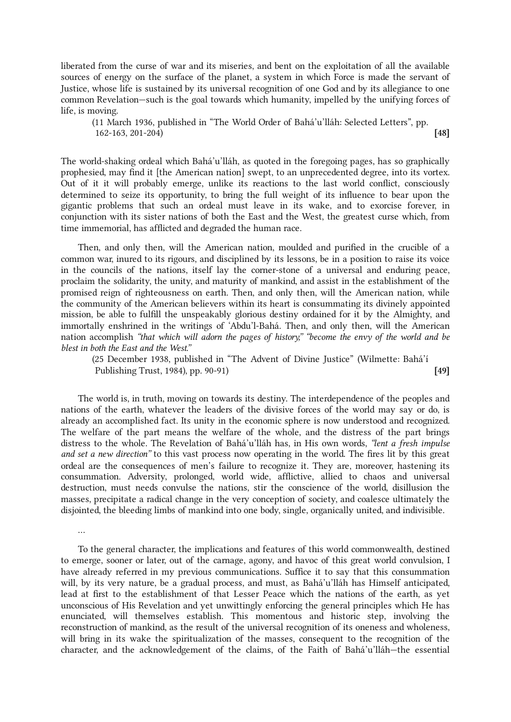liberated from the curse of war and its miseries, and bent on the exploitation of all the available sources of energy on the surface of the planet, a system in which Force is made the servant of Justice, whose life is sustained by its universal recognition of one God and by its allegiance to one common Revelation—such is the goal towards which humanity, impelled by the unifying forces of life, is moving.

(11 March 1936, published in "The World Order of Bahá'u'lláh: Selected Letters", pp. 162-163, 201-204) [48]

The world-shaking ordeal which Bahá'u'lláh, as quoted in the foregoing pages, has so graphically prophesied, may find it [the American nation] swept, to an unprecedented degree, into its vortex. Out of it it will probably emerge, unlike its reactions to the last world conflict, consciously determined to seize its opportunity, to bring the full weight of its influence to bear upon the gigantic problems that such an ordeal must leave in its wake, and to exorcise forever, in conjunction with its sister nations of both the East and the West, the greatest curse which, from time immemorial, has afflicted and degraded the human race.

Then, and only then, will the American nation, moulded and purified in the crucible of a common war, inured to its rigours, and disciplined by its lessons, be in a position to raise its voice in the councils of the nations, itself lay the corner-stone of a universal and enduring peace, proclaim the solidarity, the unity, and maturity of mankind, and assist in the establishment of the promised reign of righteousness on earth. Then, and only then, will the American nation, while the community of the American believers within its heart is consummating its divinely appointed mission, be able to fulfill the unspeakably glorious destiny ordained for it by the Almighty, and immortally enshrined in the writings of 'Abdu'l-Bahá. Then, and only then, will the American nation accomplish "that which will adorn the pages of history," "become the envy of the world and be blest in both the East and the West."

(25 December 1938, published in "The Advent of Divine Justice" (Wilmette: Bahá'í Publishing Trust, 1984), pp. 90-91) [49]

The world is, in truth, moving on towards its destiny. The interdependence of the peoples and nations of the earth, whatever the leaders of the divisive forces of the world may say or do, is already an accomplished fact. Its unity in the economic sphere is now understood and recognized. The welfare of the part means the welfare of the whole, and the distress of the part brings distress to the whole. The Revelation of Bahá'u'lláh has, in His own words, "lent a fresh impulse and set a new direction" to this vast process now operating in the world. The fires lit by this great ordeal are the consequences of men's failure to recognize it. They are, moreover, hastening its consummation. Adversity, prolonged, world wide, afflictive, allied to chaos and universal destruction, must needs convulse the nations, stir the conscience of the world, disillusion the masses, precipitate a radical change in the very conception of society, and coalesce ultimately the disjointed, the bleeding limbs of mankind into one body, single, organically united, and indivisible.

...

To the general character, the implications and features of this world commonwealth, destined to emerge, sooner or later, out of the carnage, agony, and havoc of this great world convulsion, I have already referred in my previous communications. Suffice it to say that this consummation will, by its very nature, be a gradual process, and must, as Bahá'u'lláh has Himself anticipated, lead at first to the establishment of that Lesser Peace which the nations of the earth, as yet unconscious of His Revelation and yet unwittingly enforcing the general principles which He has enunciated, will themselves establish. This momentous and historic step, involving the reconstruction of mankind, as the result of the universal recognition of its oneness and wholeness, will bring in its wake the spiritualization of the masses, consequent to the recognition of the character, and the acknowledgement of the claims, of the Faith of Bahá'u'lláh—the essential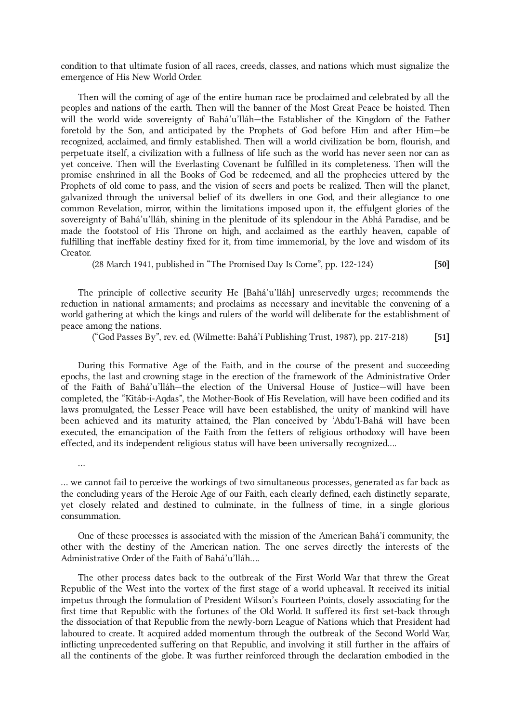condition to that ultimate fusion of all races, creeds, classes, and nations which must signalize the emergence of His New World Order.

Then will the coming of age of the entire human race be proclaimed and celebrated by all the peoples and nations of the earth. Then will the banner of the Most Great Peace be hoisted. Then will the world wide sovereignty of Bahá'u'lláh—the Establisher of the Kingdom of the Father foretold by the Son, and anticipated by the Prophets of God before Him and after Him—be recognized, acclaimed, and firmly established. Then will a world civilization be born, flourish, and perpetuate itself, a civilization with a fullness of life such as the world has never seen nor can as yet conceive. Then will the Everlasting Covenant be fulfilled in its completeness. Then will the promise enshrined in all the Books of God be redeemed, and all the prophecies uttered by the Prophets of old come to pass, and the vision of seers and poets be realized. Then will the planet, galvanized through the universal belief of its dwellers in one God, and their allegiance to one common Revelation, mirror, within the limitations imposed upon it, the effulgent glories of the sovereignty of Bahá'u'lláh, shining in the plenitude of its splendour in the Abhá Paradise, and be made the footstool of His Throne on high, and acclaimed as the earthly heaven, capable of fulfilling that ineffable destiny fixed for it, from time immemorial, by the love and wisdom of its Creator.

(28 March 1941, published in "The Promised Day Is Come", pp. 122-124) [50]

The principle of collective security He [Bahá'u'lláh] unreservedly urges; recommends the reduction in national armaments; and proclaims as necessary and inevitable the convening of a world gathering at which the kings and rulers of the world will deliberate for the establishment of peace among the nations.

("God Passes By", rev. ed. (Wilmette: Bahá'í Publishing Trust, 1987), pp. 217-218) [51]

During this Formative Age of the Faith, and in the course of the present and succeeding epochs, the last and crowning stage in the erection of the framework of the Administrative Order of the Faith of Bahá'u'lláh—the election of the Universal House of Justice—will have been completed, the "Kitáb-i-Aqdas", the Mother-Book of His Revelation, will have been codified and its laws promulgated, the Lesser Peace will have been established, the unity of mankind will have been achieved and its maturity attained, the Plan conceived by 'Abdu'l-Bahá will have been executed, the emancipation of the Faith from the fetters of religious orthodoxy will have been effected, and its independent religious status will have been universally recognized....

... we cannot fail to perceive the workings of two simultaneous processes, generated as far back as the concluding years of the Heroic Age of our Faith, each clearly defined, each distinctly separate, yet closely related and destined to culminate, in the fullness of time, in a single glorious consummation.

...

One of these processes is associated with the mission of the American Bahá'í community, the other with the destiny of the American nation. The one serves directly the interests of the Administrative Order of the Faith of Bahá'u'lláh....

The other process dates back to the outbreak of the First World War that threw the Great Republic of the West into the vortex of the first stage of a world upheaval. It received its initial impetus through the formulation of President Wilson's Fourteen Points, closely associating for the first time that Republic with the fortunes of the Old World. It suffered its first set-back through the dissociation of that Republic from the newly-born League of Nations which that President had laboured to create. It acquired added momentum through the outbreak of the Second World War, inflicting unprecedented suffering on that Republic, and involving it still further in the affairs of all the continents of the globe. It was further reinforced through the declaration embodied in the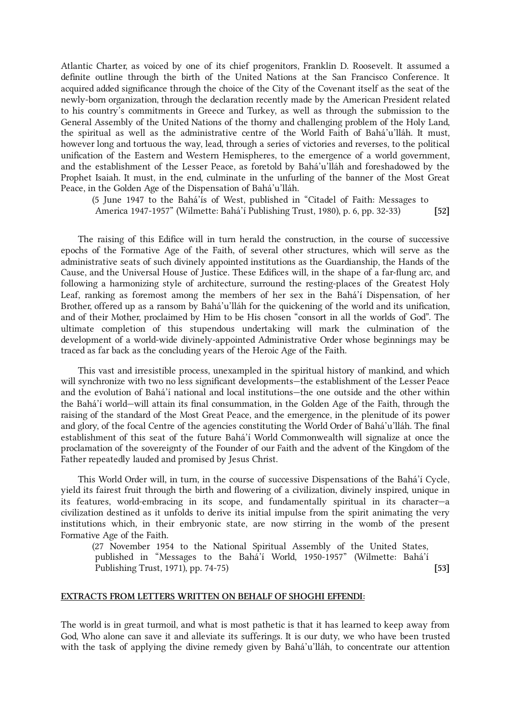Atlantic Charter, as voiced by one of its chief progenitors, Franklin D. Roosevelt. It assumed a definite outline through the birth of the United Nations at the San Francisco Conference. It acquired added significance through the choice of the City of the Covenant itself as the seat of the newly-born organization, through the declaration recently made by the American President related to his country's commitments in Greece and Turkey, as well as through the submission to the General Assembly of the United Nations of the thorny and challenging problem of the Holy Land, the spiritual as well as the administrative centre of the World Faith of Bahá'u'lláh. It must, however long and tortuous the way, lead, through a series of victories and reverses, to the political unification of the Eastern and Western Hemispheres, to the emergence of a world government, and the establishment of the Lesser Peace, as foretold by Bahá'u'lláh and foreshadowed by the Prophet Isaiah. It must, in the end, culminate in the unfurling of the banner of the Most Great Peace, in the Golden Age of the Dispensation of Bahá'u'lláh.

(5 June 1947 to the Bahá'ís of West, published in "Citadel of Faith: Messages to America 1947-1957" (Wilmette: Bahá'í Publishing Trust, 1980), p. 6, pp. 32-33) [52]

The raising of this Edifice will in turn herald the construction, in the course of successive epochs of the Formative Age of the Faith, of several other structures, which will serve as the administrative seats of such divinely appointed institutions as the Guardianship, the Hands of the Cause, and the Universal House of Justice. These Edifices will, in the shape of a far-flung arc, and following a harmonizing style of architecture, surround the resting-places of the Greatest Holy Leaf, ranking as foremost among the members of her sex in the Bahá'í Dispensation, of her Brother, offered up as a ransom by Bahá'u'lláh for the quickening of the world and its unification, and of their Mother, proclaimed by Him to be His chosen "consort in all the worlds of God". The ultimate completion of this stupendous undertaking will mark the culmination of the development of a world-wide divinely-appointed Administrative Order whose beginnings may be traced as far back as the concluding years of the Heroic Age of the Faith.

This vast and irresistible process, unexampled in the spiritual history of mankind, and which will synchronize with two no less significant developments—the establishment of the Lesser Peace and the evolution of Bahá'í national and local institutions—the one outside and the other within the Bahá'í world—will attain its final consummation, in the Golden Age of the Faith, through the raising of the standard of the Most Great Peace, and the emergence, in the plenitude of its power and glory, of the focal Centre of the agencies constituting the World Order of Bahá'u'lláh. The final establishment of this seat of the future Bahá'í World Commonwealth will signalize at once the proclamation of the sovereignty of the Founder of our Faith and the advent of the Kingdom of the Father repeatedly lauded and promised by Jesus Christ.

This World Order will, in turn, in the course of successive Dispensations of the Bahá'í Cycle, yield its fairest fruit through the birth and flowering of a civilization, divinely inspired, unique in its features, world-embracing in its scope, and fundamentally spiritual in its character—a civilization destined as it unfolds to derive its initial impulse from the spirit animating the very institutions which, in their embryonic state, are now stirring in the womb of the present Formative Age of the Faith.

(27 November 1954 to the National Spiritual Assembly of the United States, published in "Messages to the Bahá'í World, 1950-1957" (Wilmette: Bahá'í Publishing Trust,  $1971$ , pp. 74-75) [53]

# EXTRACTS FROM LETTERS WRITTEN ON BEHALF OF SHOGHI EFFENDI:

The world is in great turmoil, and what is most pathetic is that it has learned to keep away from God, Who alone can save it and alleviate its sufferings. It is our duty, we who have been trusted with the task of applying the divine remedy given by Bahá'u'lláh, to concentrate our attention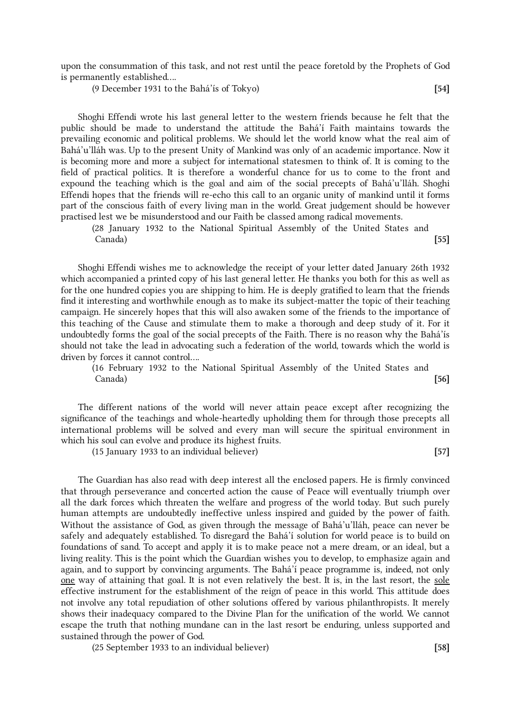upon the consummation of this task, and not rest until the peace foretold by the Prophets of God is permanently established....

(9 December 1931 to the Bahá'ís of Tokyo) [54]

Shoghi Effendi wrote his last general letter to the western friends because he felt that the public should be made to understand the attitude the Bahá'í Faith maintains towards the prevailing economic and political problems. We should let the world know what the real aim of Bahá'u'lláh was. Up to the present Unity of Mankind was only of an academic importance. Now it is becoming more and more a subject for international statesmen to think of. It is coming to the field of practical politics. It is therefore a wonderful chance for us to come to the front and expound the teaching which is the goal and aim of the social precepts of Bahá'u'lláh. Shoghi Effendi hopes that the friends will re-echo this call to an organic unity of mankind until it forms part of the conscious faith of every living man in the world. Great judgement should be however practised lest we be misunderstood and our Faith be classed among radical movements.

(28 January 1932 to the National Spiritual Assembly of the United States and Canada) [55]

Shoghi Effendi wishes me to acknowledge the receipt of your letter dated January 26th 1932 which accompanied a printed copy of his last general letter. He thanks you both for this as well as for the one hundred copies you are shipping to him. He is deeply gratified to learn that the friends find it interesting and worthwhile enough as to make its subject-matter the topic of their teaching campaign. He sincerely hopes that this will also awaken some of the friends to the importance of this teaching of the Cause and stimulate them to make a thorough and deep study of it. For it undoubtedly forms the goal of the social precepts of the Faith. There is no reason why the Bahá'ís should not take the lead in advocating such a federation of the world, towards which the world is driven by forces it cannot control....

(16 February 1932 to the National Spiritual Assembly of the United States and Canada) [56]

The different nations of the world will never attain peace except after recognizing the significance of the teachings and whole-heartedly upholding them for through those precepts all international problems will be solved and every man will secure the spiritual environment in which his soul can evolve and produce its highest fruits.

(15 January 1933 to an individual believer) [57]

The Guardian has also read with deep interest all the enclosed papers. He is firmly convinced that through perseverance and concerted action the cause of Peace will eventually triumph over all the dark forces which threaten the welfare and progress of the world today. But such purely human attempts are undoubtedly ineffective unless inspired and guided by the power of faith. Without the assistance of God, as given through the message of Bahá'u'lláh, peace can never be safely and adequately established. To disregard the Bahá'í solution for world peace is to build on foundations of sand. To accept and apply it is to make peace not a mere dream, or an ideal, but a living reality. This is the point which the Guardian wishes you to develop, to emphasize again and again, and to support by convincing arguments. The Bahá'í peace programme is, indeed, not only one way of attaining that goal. It is not even relatively the best. It is, in the last resort, the sole effective instrument for the establishment of the reign of peace in this world. This attitude does not involve any total repudiation of other solutions offered by various philanthropists. It merely shows their inadequacy compared to the Divine Plan for the unification of the world. We cannot escape the truth that nothing mundane can in the last resort be enduring, unless supported and sustained through the power of God.

(25 September 1933 to an individual believer) [58]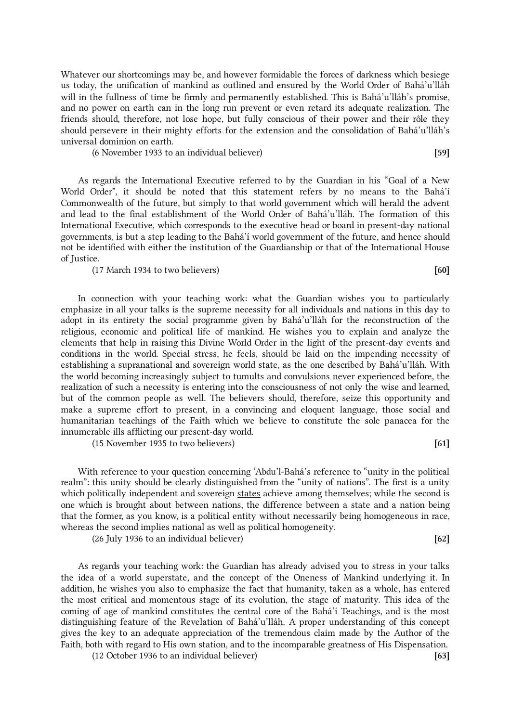Whatever our shortcomings may be, and however formidable the forces of darkness which besiege us today, the unification of mankind as outlined and ensured by the World Order of Bahá'u'lláh will in the fullness of time be firmly and permanently established. This is Bahá'u'lláh's promise, and no power on earth can in the long run prevent or even retard its adequate realization. The friends should, therefore, not lose hope, but fully conscious of their power and their rôle they should persevere in their mighty efforts for the extension and the consolidation of Bahá'u'lláh's universal dominion on earth.

(6 November 1933 to an individual believer) [59]

As regards the International Executive referred to by the Guardian in his "Goal of a New World Order", it should be noted that this statement refers by no means to the Bahá'í Commonwealth of the future, but simply to that world government which will herald the advent and lead to the final establishment of the World Order of Bahá'u'lláh. The formation of this International Executive, which corresponds to the executive head or board in present-day national governments, is but a step leading to the Bahá'í world government of the future, and hence should not be identified with either the institution of the Guardianship or that of the International House of Justice.

(17 March 1934 to two believers) [60]

In connection with your teaching work: what the Guardian wishes you to particularly emphasize in all your talks is the supreme necessity for all individuals and nations in this day to adopt in its entirety the social programme given by Bahá'u'lláh for the reconstruction of the religious, economic and political life of mankind. He wishes you to explain and analyze the elements that help in raising this Divine World Order in the light of the present-day events and conditions in the world. Special stress, he feels, should be laid on the impending necessity of establishing a supranational and sovereign world state, as the one described by Bahá'u'lláh. With the world becoming increasingly subject to tumults and convulsions never experienced before, the realization of such a necessity is entering into the consciousness of not only the wise and learned, but of the common people as well. The believers should, therefore, seize this opportunity and make a supreme effort to present, in a convincing and eloquent language, those social and humanitarian teachings of the Faith which we believe to constitute the sole panacea for the innumerable ills afflicting our present-day world.

(15 November 1935 to two believers) [61]

With reference to your question concerning 'Abdu'l-Bahá's reference to "unity in the political realm": this unity should be clearly distinguished from the "unity of nations". The first is a unity which politically independent and sovereign states achieve among themselves; while the second is one which is brought about between nations, the difference between a state and a nation being that the former, as you know, is a political entity without necessarily being homogeneous in race, whereas the second implies national as well as political homogeneity.

(26 July 1936 to an individual believer) [62]

As regards your teaching work: the Guardian has already advised you to stress in your talks the idea of a world superstate, and the concept of the Oneness of Mankind underlying it. In addition, he wishes you also to emphasize the fact that humanity, taken as a whole, has entered the most critical and momentous stage of its evolution, the stage of maturity. This idea of the coming of age of mankind constitutes the central core of the Bahá'í Teachings, and is the most distinguishing feature of the Revelation of Bahá'u'lláh. A proper understanding of this concept gives the key to an adequate appreciation of the tremendous claim made by the Author of the Faith, both with regard to His own station, and to the incomparable greatness of His Dispensation.

(12 October 1936 to an individual believer) [63]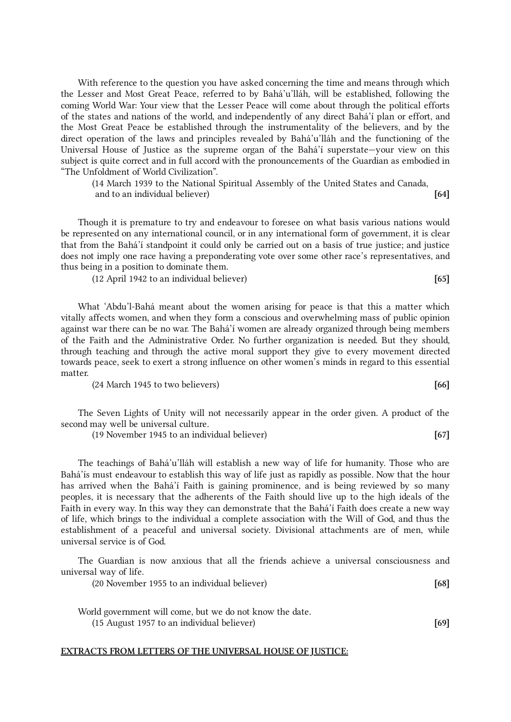With reference to the question you have asked concerning the time and means through which the Lesser and Most Great Peace, referred to by Bahá'u'lláh, will be established, following the coming World War: Your view that the Lesser Peace will come about through the political efforts of the states and nations of the world, and independently of any direct Bahá'í plan or effort, and the Most Great Peace be established through the instrumentality of the believers, and by the direct operation of the laws and principles revealed by Bahá'u'lláh and the functioning of the Universal House of Justice as the supreme organ of the Bahá'í superstate—your view on this subject is quite correct and in full accord with the pronouncements of the Guardian as embodied in "The Unfoldment of World Civilization".

(14 March 1939 to the National Spiritual Assembly of the United States and Canada, and to an individual believer) and to an individual believer  $[64]$ 

Though it is premature to try and endeavour to foresee on what basis various nations would be represented on any international council, or in any international form of government, it is clear that from the Bahá'í standpoint it could only be carried out on a basis of true justice; and justice does not imply one race having a preponderating vote over some other race's representatives, and thus being in a position to dominate them.

(12 April 1942 to an individual believer) [65]

What 'Abdu'l-Bahá meant about the women arising for peace is that this a matter which vitally affects women, and when they form a conscious and overwhelming mass of public opinion against war there can be no war. The Bahá'í women are already organized through being members of the Faith and the Administrative Order. No further organization is needed. But they should, through teaching and through the active moral support they give to every movement directed towards peace, seek to exert a strong influence on other women's minds in regard to this essential matter.

(24 March 1945 to two believers) [66]

The Seven Lights of Unity will not necessarily appear in the order given. A product of the second may well be universal culture.

(19 November 1945 to an individual believer) [67]

The teachings of Bahá'u'lláh will establish a new way of life for humanity. Those who are Bahá'ís must endeavour to establish this way of life just as rapidly as possible. Now that the hour has arrived when the Bahá'í Faith is gaining prominence, and is being reviewed by so many peoples, it is necessary that the adherents of the Faith should live up to the high ideals of the Faith in every way. In this way they can demonstrate that the Bahá'í Faith does create a new way of life, which brings to the individual a complete association with the Will of God, and thus the establishment of a peaceful and universal society. Divisional attachments are of men, while universal service is of God.

The Guardian is now anxious that all the friends achieve a universal consciousness and universal way of life.

| (20 November 1955 to an individual believer) |  |
|----------------------------------------------|--|
|----------------------------------------------|--|

World government will come, but we do not know the date. (15 August 1957 to an individual believer) [69]

### EXTRACTS FROM LETTERS OF THE UNIVERSAL HOUSE OF JUSTICE: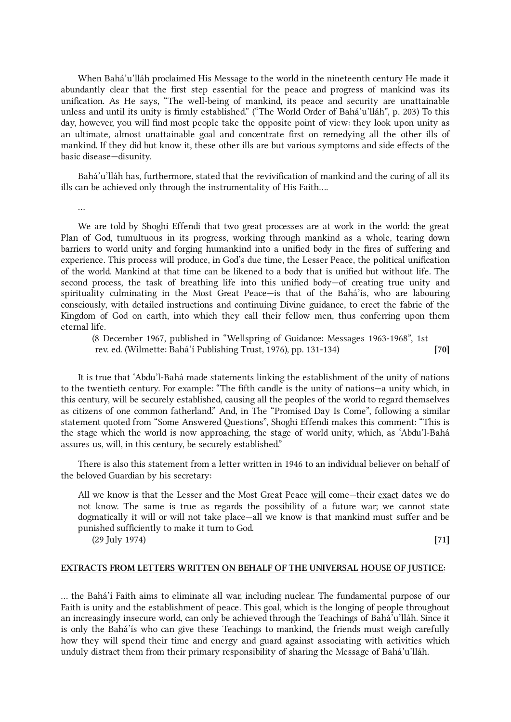When Bahá'u'lláh proclaimed His Message to the world in the nineteenth century He made it abundantly clear that the first step essential for the peace and progress of mankind was its unification. As He says, "The well-being of mankind, its peace and security are unattainable unless and until its unity is firmly established." ("The World Order of Bahá'u'lláh", p. 203) To this day, however, you will find most people take the opposite point of view: they look upon unity as an ultimate, almost unattainable goal and concentrate first on remedying all the other ills of mankind. If they did but know it, these other ills are but various symptoms and side effects of the basic disease—disunity.

Bahá'u'lláh has, furthermore, stated that the revivification of mankind and the curing of all its ills can be achieved only through the instrumentality of His Faith....

We are told by Shoghi Effendi that two great processes are at work in the world: the great Plan of God, tumultuous in its progress, working through mankind as a whole, tearing down barriers to world unity and forging humankind into a unified body in the fires of suffering and experience. This process will produce, in God's due time, the Lesser Peace, the political unification of the world. Mankind at that time can be likened to a body that is unified but without life. The second process, the task of breathing life into this unified body—of creating true unity and spirituality culminating in the Most Great Peace—is that of the Bahá'ís, who are labouring consciously, with detailed instructions and continuing Divine guidance, to erect the fabric of the Kingdom of God on earth, into which they call their fellow men, thus conferring upon them eternal life.

(8 December 1967, published in "Wellspring of Guidance: Messages 1963-1968", 1st rev. ed. (Wilmette: Bahá'í Publishing Trust, 1976), pp. 131-134) [70]

It is true that 'Abdu'l-Bahá made statements linking the establishment of the unity of nations to the twentieth century. For example: "The fifth candle is the unity of nations—a unity which, in this century, will be securely established, causing all the peoples of the world to regard themselves as citizens of one common fatherland." And, in The "Promised Day Is Come", following a similar statement quoted from "Some Answered Questions", Shoghi Effendi makes this comment: "This is the stage which the world is now approaching, the stage of world unity, which, as 'Abdu'l-Bahá assures us, will, in this century, be securely established."

There is also this statement from a letter written in 1946 to an individual believer on behalf of the beloved Guardian by his secretary:

All we know is that the Lesser and the Most Great Peace will come-their exact dates we do not know. The same is true as regards the possibility of a future war; we cannot state dogmatically it will or will not take place—all we know is that mankind must suffer and be punished sufficiently to make it turn to God.

(29 July 1974) [71]

...

# EXTRACTS FROM LETTERS WRITTEN ON BEHALF OF THE UNIVERSAL HOUSE OF JUSTICE:

... the Bahá'í Faith aims to eliminate all war, including nuclear. The fundamental purpose of our Faith is unity and the establishment of peace. This goal, which is the longing of people throughout an increasingly insecure world, can only be achieved through the Teachings of Bahá'u'lláh. Since it is only the Bahá'ís who can give these Teachings to mankind, the friends must weigh carefully how they will spend their time and energy and guard against associating with activities which unduly distract them from their primary responsibility of sharing the Message of Bahá'u'lláh.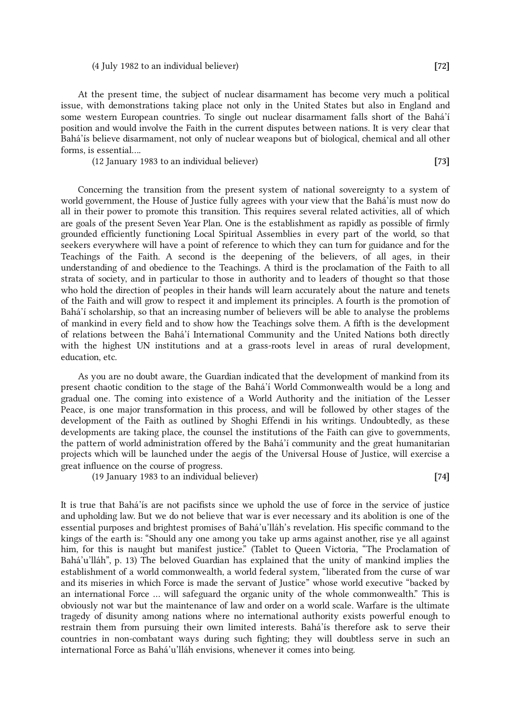#### (4 July 1982 to an individual believer) [72]

At the present time, the subject of nuclear disarmament has become very much a political issue, with demonstrations taking place not only in the United States but also in England and some western European countries. To single out nuclear disarmament falls short of the Bahá'í position and would involve the Faith in the current disputes between nations. It is very clear that Bahá'ís believe disarmament, not only of nuclear weapons but of biological, chemical and all other forms, is essential....

(12 January 1983 to an individual believer) [73]

Concerning the transition from the present system of national sovereignty to a system of world government, the House of Justice fully agrees with your view that the Bahá'ís must now do all in their power to promote this transition. This requires several related activities, all of which are goals of the present Seven Year Plan. One is the establishment as rapidly as possible of firmly grounded efficiently functioning Local Spiritual Assemblies in every part of the world, so that seekers everywhere will have a point of reference to which they can turn for guidance and for the Teachings of the Faith. A second is the deepening of the believers, of all ages, in their understanding of and obedience to the Teachings. A third is the proclamation of the Faith to all strata of society, and in particular to those in authority and to leaders of thought so that those who hold the direction of peoples in their hands will learn accurately about the nature and tenets of the Faith and will grow to respect it and implement its principles. A fourth is the promotion of Bahá'í scholarship, so that an increasing number of believers will be able to analyse the problems of mankind in every field and to show how the Teachings solve them. A fifth is the development of relations between the Bahá'í International Community and the United Nations both directly with the highest UN institutions and at a grass-roots level in areas of rural development, education, etc.

As you are no doubt aware, the Guardian indicated that the development of mankind from its present chaotic condition to the stage of the Bahá'í World Commonwealth would be a long and gradual one. The coming into existence of a World Authority and the initiation of the Lesser Peace, is one major transformation in this process, and will be followed by other stages of the development of the Faith as outlined by Shoghi Effendi in his writings. Undoubtedly, as these developments are taking place, the counsel the institutions of the Faith can give to governments, the pattern of world administration offered by the Bahá'í community and the great humanitarian projects which will be launched under the aegis of the Universal House of Justice, will exercise a great influence on the course of progress.

(19 January 1983 to an individual believer) [74]

It is true that Bahá'ís are not pacifists since we uphold the use of force in the service of justice and upholding law. But we do not believe that war is ever necessary and its abolition is one of the essential purposes and brightest promises of Bahá'u'lláh's revelation. His specific command to the kings of the earth is: "Should any one among you take up arms against another, rise ye all against him, for this is naught but manifest justice." (Tablet to Queen Victoria, "The Proclamation of Bahá'u'lláh", p. 13) The beloved Guardian has explained that the unity of mankind implies the establishment of a world commonwealth, a world federal system, "liberated from the curse of war and its miseries in which Force is made the servant of Justice" whose world executive "backed by an international Force ... will safeguard the organic unity of the whole commonwealth." This is obviously not war but the maintenance of law and order on a world scale. Warfare is the ultimate tragedy of disunity among nations where no international authority exists powerful enough to restrain them from pursuing their own limited interests. Bahá'ís therefore ask to serve their countries in non-combatant ways during such fighting; they will doubtless serve in such an international Force as Bahá'u'lláh envisions, whenever it comes into being.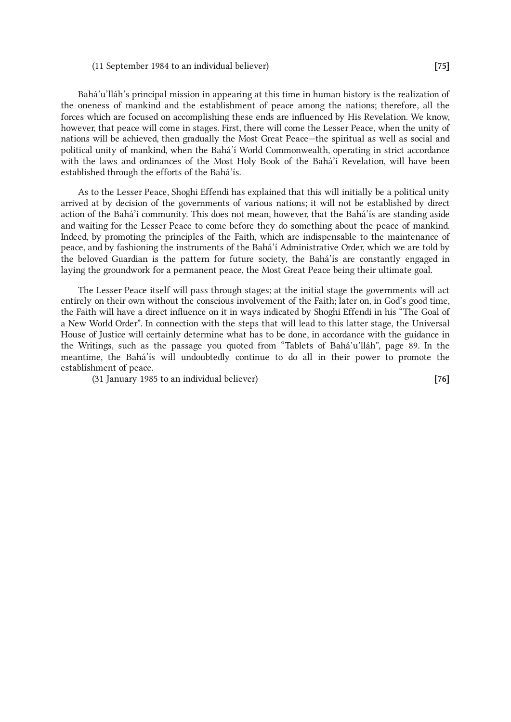#### (11 September 1984 to an individual believer) [75]

Bahá'u'lláh's principal mission in appearing at this time in human history is the realization of the oneness of mankind and the establishment of peace among the nations; therefore, all the forces which are focused on accomplishing these ends are influenced by His Revelation. We know, however, that peace will come in stages. First, there will come the Lesser Peace, when the unity of nations will be achieved, then gradually the Most Great Peace—the spiritual as well as social and political unity of mankind, when the Bahá'í World Commonwealth, operating in strict accordance with the laws and ordinances of the Most Holy Book of the Bahá'í Revelation, will have been established through the efforts of the Bahá'ís.

As to the Lesser Peace, Shoghi Effendi has explained that this will initially be a political unity arrived at by decision of the governments of various nations; it will not be established by direct action of the Bahá'í community. This does not mean, however, that the Bahá'ís are standing aside and waiting for the Lesser Peace to come before they do something about the peace of mankind. Indeed, by promoting the principles of the Faith, which are indispensable to the maintenance of peace, and by fashioning the instruments of the Bahá'í Administrative Order, which we are told by the beloved Guardian is the pattern for future society, the Bahá'ís are constantly engaged in laying the groundwork for a permanent peace, the Most Great Peace being their ultimate goal.

The Lesser Peace itself will pass through stages; at the initial stage the governments will act entirely on their own without the conscious involvement of the Faith; later on, in God's good time, the Faith will have a direct influence on it in ways indicated by Shoghi Effendi in his "The Goal of a New World Order". In connection with the steps that will lead to this latter stage, the Universal House of Justice will certainly determine what has to be done, in accordance with the guidance in the Writings, such as the passage you quoted from "Tablets of Bahá'u'lláh", page 89. In the meantime, the Bahá'ís will undoubtedly continue to do all in their power to promote the establishment of peace.

(31 January 1985 to an individual believer) [76]